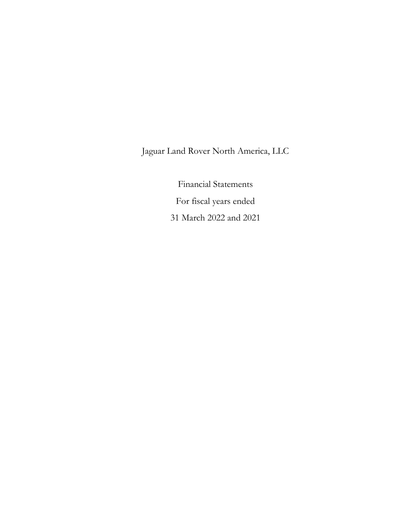Jaguar Land Rover North America, LLC

Financial Statements For fiscal years ended 31 March 2022 and 2021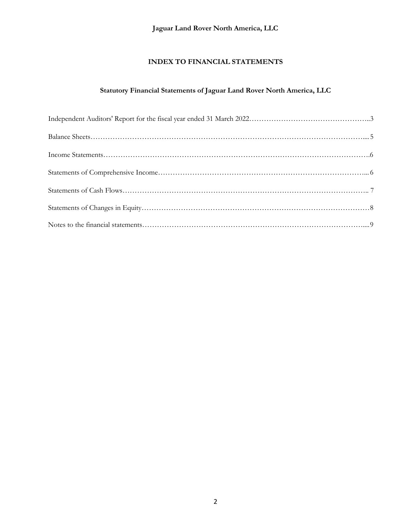# **Jaguar Land Rover North America, LLC**

# **INDEX TO FINANCIAL STATEMENTS**

# **Statutory Financial Statements of Jaguar Land Rover North America, LLC**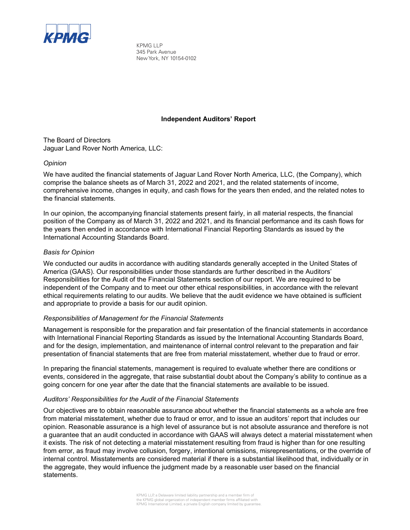

KPMG LLP 345 Park Avenue New York, NY 10154-0102

#### **Independent Auditors' Report**

The Board of Directors Jaguar Land Rover North America, LLC:

#### *Opinion*

We have audited the financial statements of Jaguar Land Rover North America, LLC, (the Company), which comprise the balance sheets as of March 31, 2022 and 2021, and the related statements of income, comprehensive income, changes in equity, and cash flows for the years then ended, and the related notes to the financial statements.

In our opinion, the accompanying financial statements present fairly, in all material respects, the financial position of the Company as of March 31, 2022 and 2021, and its financial performance and its cash flows for the years then ended in accordance with International Financial Reporting Standards as issued by the International Accounting Standards Board.

#### *Basis for Opinion*

We conducted our audits in accordance with auditing standards generally accepted in the United States of America (GAAS). Our responsibilities under those standards are further described in the Auditors' Responsibilities for the Audit of the Financial Statements section of our report. We are required to be independent of the Company and to meet our other ethical responsibilities, in accordance with the relevant ethical requirements relating to our audits. We believe that the audit evidence we have obtained is sufficient and appropriate to provide a basis for our audit opinion.

#### *Responsibilities of Management for the Financial Statements*

Management is responsible for the preparation and fair presentation of the financial statements in accordance with International Financial Reporting Standards as issued by the International Accounting Standards Board, and for the design, implementation, and maintenance of internal control relevant to the preparation and fair presentation of financial statements that are free from material misstatement, whether due to fraud or error.

In preparing the financial statements, management is required to evaluate whether there are conditions or events, considered in the aggregate, that raise substantial doubt about the Company's ability to continue as a going concern for one year after the date that the financial statements are available to be issued.

#### *Auditors' Responsibilities for the Audit of the Financial Statements*

Our objectives are to obtain reasonable assurance about whether the financial statements as a whole are free from material misstatement, whether due to fraud or error, and to issue an auditors' report that includes our opinion. Reasonable assurance is a high level of assurance but is not absolute assurance and therefore is not a guarantee that an audit conducted in accordance with GAAS will always detect a material misstatement when it exists. The risk of not detecting a material misstatement resulting from fraud is higher than for one resulting from error, as fraud may involve collusion, forgery, intentional omissions, misrepresentations, or the override of internal control. Misstatements are considered material if there is a substantial likelihood that, individually or in the aggregate, they would influence the judgment made by a reasonable user based on the financial statements.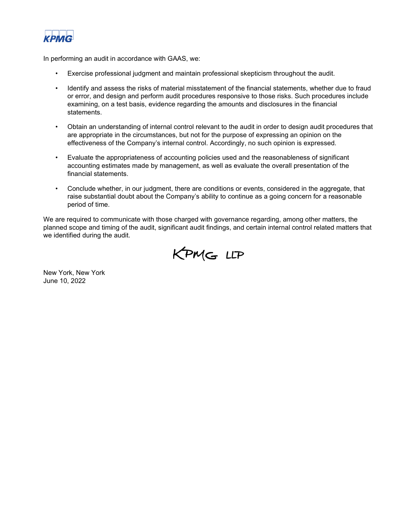

In performing an audit in accordance with GAAS, we:

- Exercise professional judgment and maintain professional skepticism throughout the audit.
- Identify and assess the risks of material misstatement of the financial statements, whether due to fraud or error, and design and perform audit procedures responsive to those risks. Such procedures include examining, on a test basis, evidence regarding the amounts and disclosures in the financial statements.
- Obtain an understanding of internal control relevant to the audit in order to design audit procedures that are appropriate in the circumstances, but not for the purpose of expressing an opinion on the effectiveness of the Company's internal control. Accordingly, no such opinion is expressed.
- Evaluate the appropriateness of accounting policies used and the reasonableness of significant accounting estimates made by management, as well as evaluate the overall presentation of the financial statements.
- Conclude whether, in our judgment, there are conditions or events, considered in the aggregate, that raise substantial doubt about the Company's ability to continue as a going concern for a reasonable period of time.

We are required to communicate with those charged with governance regarding, among other matters, the planned scope and timing of the audit, significant audit findings, and certain internal control related matters that we identified during the audit.



New York, New York June 10, 2022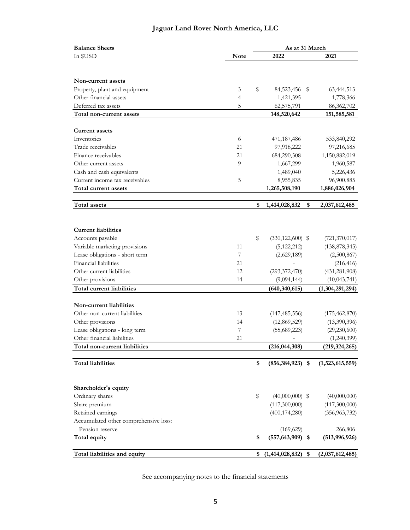# **Jaguar Land Rover North America, LLC**

| <b>Balance Sheets</b>                 |             | As at 31 March |                      |      |                               |  |  |
|---------------------------------------|-------------|----------------|----------------------|------|-------------------------------|--|--|
| In \$USD                              | <b>Note</b> |                | 2022                 |      | 2021                          |  |  |
|                                       |             |                |                      |      |                               |  |  |
|                                       |             |                |                      |      |                               |  |  |
| Non-current assets                    |             |                |                      |      |                               |  |  |
| Property, plant and equipment         | 3           | \$             | 84,523,456           | S    | 63,444,513                    |  |  |
| Other financial assets                | 4           |                | 1,421,395            |      | 1,778,366                     |  |  |
| Deferred tax assets                   | 5           |                | 62,575,791           |      | 86,362,702                    |  |  |
| Total non-current assets              |             |                | 148,520,642          |      | 151,585,581                   |  |  |
| <b>Current assets</b>                 |             |                |                      |      |                               |  |  |
| Inventories                           | 6           |                | 471,187,486          |      | 533,840,292                   |  |  |
| Trade receivables                     | 21          |                | 97,918,222           |      | 97,216,685                    |  |  |
| Finance receivables                   | 21          |                |                      |      |                               |  |  |
|                                       | 9           |                | 684,290,308          |      | 1,150,882,019                 |  |  |
| Other current assets                  |             |                | 1,667,299            |      | 1,960,587                     |  |  |
| Cash and cash equivalents             |             |                | 1,489,040            |      | 5,226,436                     |  |  |
| Current income tax receivables        | 5           |                | 8,955,835            |      | 96,900,885                    |  |  |
| Total current assets                  |             |                | 1,265,508,190        |      | 1,886,026,904                 |  |  |
| Total assets                          |             | \$             | 1,414,028,832        | \$   | 2,037,612,485                 |  |  |
|                                       |             |                |                      |      |                               |  |  |
|                                       |             |                |                      |      |                               |  |  |
| <b>Current liabilities</b>            |             |                |                      |      |                               |  |  |
| Accounts payable                      |             | \$             | $(330, 122, 600)$ \$ |      | (721, 370, 017)               |  |  |
| Variable marketing provisions         | 11          |                | (5, 122, 212)        |      | (138, 878, 345)               |  |  |
| Lease obligations - short term        | 7           |                | (2,629,189)          |      | (2,500,867)                   |  |  |
| Financial liabilities                 | 21          |                |                      |      | (216, 416)                    |  |  |
| Other current liabilities             | 12          |                | (293, 372, 470)      |      | (431, 281, 908)               |  |  |
| Other provisions                      | 14          |                | (9,094,144)          |      | (10,043,741)                  |  |  |
| Total current liabilities             |             |                | (640, 340, 615)      |      | (1,304,291,294)               |  |  |
|                                       |             |                |                      |      |                               |  |  |
| Non-current liabilities               |             |                |                      |      |                               |  |  |
| Other non-current liabilities         | 13          |                | (147, 485, 556)      |      | (175, 462, 870)               |  |  |
| Other provisions                      | 14          |                | (12, 869, 529)       |      | (13,390,396)                  |  |  |
| Lease obligations - long term         | 7           |                | (55,689,223)         |      | (29, 230, 600)                |  |  |
| Other financial liabilities           | 21          |                |                      |      | (1,240,399)                   |  |  |
| Total non-current liabilities         |             |                | (216, 044, 308)      |      | (219, 324, 265)               |  |  |
|                                       |             |                |                      |      |                               |  |  |
| <b>Total liabilities</b>              |             | \$             | (856, 384, 923)      | \$   | (1,523,615,559)               |  |  |
|                                       |             |                |                      |      |                               |  |  |
| Shareholder's equity                  |             |                |                      |      |                               |  |  |
| Ordinary shares                       |             | \$             | $(40,000,000)$ \$    |      |                               |  |  |
| Share premium                         |             |                | (117,300,000)        |      | (40,000,000)<br>(117,300,000) |  |  |
| Retained earnings                     |             |                |                      |      |                               |  |  |
| Accumulated other comprehensive loss: |             |                | (400, 174, 280)      |      | (356, 963, 732)               |  |  |
| Pension reserve                       |             |                | (169, 629)           |      |                               |  |  |
| Total equity                          |             | \$             | (557, 643, 909)      | - \$ | 266,806<br>(513, 996, 926)    |  |  |
|                                       |             |                |                      |      |                               |  |  |
| Total liabilities and equity          |             | \$             | (1,414,028,832)      | \$   | (2,037,612,485)               |  |  |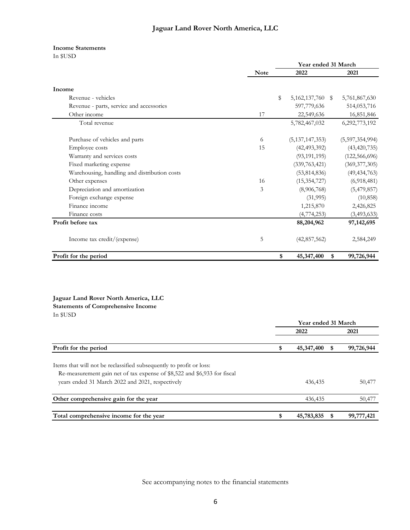#### **Income Statements**

In \$USD

|                                              |             | Year ended 31 March    |                 |
|----------------------------------------------|-------------|------------------------|-----------------|
|                                              | <b>Note</b> | 2022                   | 2021            |
| Income                                       |             |                        |                 |
| Revenue - vehicles                           |             | \$<br>5,162,137,760 \$ | 5,761,867,630   |
| Revenue - parts, service and accessories     |             | 597,779,636            | 514,053,716     |
| Other income                                 | 17          | 22,549,636             | 16,851,846      |
| Total revenue                                |             | 5,782,467,032          | 6,292,773,192   |
| Purchase of vehicles and parts               | 6           | (5, 137, 147, 353)     | (5,597,354,994) |
| Employee costs                               | 15          | (42, 493, 392)         | (43, 420, 735)  |
| Warranty and services costs                  |             | (93, 191, 195)         | (122, 566, 696) |
| Fixed marketing expense                      |             | (339, 763, 421)        | (369, 377, 305) |
| Warehousing, handling and distribution costs |             | (53, 814, 836)         | (49, 434, 763)  |
| Other expenses                               | 16          | (15, 354, 727)         | (6,918,481)     |
| Depreciation and amortization                | 3           | (8,906,768)            | (5,479,857)     |
| Foreign exchange expense                     |             | (31,995)               | (10, 858)       |
| Finance income                               |             | 1,215,870              | 2,426,825       |
| Finance costs                                |             | (4,774,253)            | (3,493,633)     |
| Profit before tax                            |             | 88,204,962             | 97,142,695      |
| Income tax credit/(expense)                  | 5           | (42, 857, 562)         | 2,584,249       |
| Profit for the period                        |             | \$<br>45,347,400<br>\$ | 99,726,944      |

#### **Jaguar Land Rover North America, LLC Statements of Comprehensive Income**

In \$USD

|                                                                                                                                                 | Year ended 31 March |   |            |
|-------------------------------------------------------------------------------------------------------------------------------------------------|---------------------|---|------------|
|                                                                                                                                                 | 2022                |   | 2021       |
| Profit for the period                                                                                                                           | \$<br>45,347,400    |   | 99,726,944 |
| Items that will not be reclassified subsequently to profit or loss:<br>Re-measurement gain net of tax expense of \$8,522 and \$6,933 for fiscal |                     |   |            |
| years ended 31 March 2022 and 2021, respectively                                                                                                | 436,435             |   | 50,477     |
| Other comprehensive gain for the year                                                                                                           | 436,435             |   | 50,477     |
| Total comprehensive income for the year                                                                                                         | \$<br>45,783,835    | S | 99,777,421 |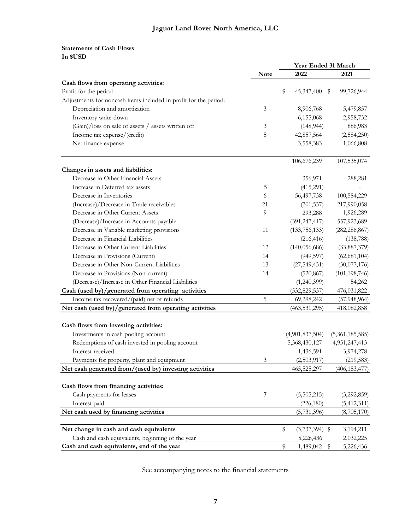### **Statements of Cash Flows In \$USD**

|                                                                  | Year Ended 31 March |    |                  |                 |
|------------------------------------------------------------------|---------------------|----|------------------|-----------------|
|                                                                  | Note                |    | 2022             | 2021            |
| Cash flows from operating activities:                            |                     |    |                  |                 |
| Profit for the period                                            |                     | \$ | 45,347,400 \$    | 99,726,944      |
| Adjustments for noncash items included in profit for the period: |                     |    |                  |                 |
| Depreciation and amortization                                    | $\mathfrak{Z}$      |    | 8,906,768        | 5,479,857       |
| Inventory write-down                                             |                     |    | 6,155,068        | 2,958,732       |
| (Gain)/loss on sale of assets / assets written off               | 3                   |    | (148, 944)       | 886,983         |
| Income tax expense/(credit)                                      | 5                   |    | 42,857,564       | (2,584,250)     |
| Net finance expense                                              |                     |    | 3,558,383        | 1,066,808       |
|                                                                  |                     |    | 106,676,239      | 107,535,074     |
| Changes in assets and liabilities:                               |                     |    |                  |                 |
| Decrease in Other Financial Assets                               |                     |    | 356,971          | 288,281         |
| Increase in Deferred tax assets                                  | 5                   |    | (415,291)        |                 |
| Decrease in Inventories                                          | 6                   |    | 56,497,738       | 100,584,229     |
| (Increase)/Decrease in Trade receivables                         | 21                  |    | (701, 537)       | 217,990,058     |
| Decrease in Other Current Assets                                 | 9                   |    | 293,288          | 1,926,289       |
| (Decrease)/Increase in Accounts payable                          |                     |    | (391, 247, 417)  | 557,923,689     |
| Decrease in Variable marketing provisions                        | 11                  |    | (133, 756, 133)  | (282, 286, 867) |
| Decrease in Financial Liabilities                                |                     |    | (216, 416)       | (138, 788)      |
| Decrease in Other Current Liabilities                            | 12                  |    | (140, 056, 686)  | (33, 887, 379)  |
| Decrease in Provisions (Current)                                 | 14                  |    | (949, 597)       | (62, 681, 104)  |
| Decrease in Other Non-Current Liabilities                        | 13                  |    | (27, 549, 431)   | (30,077,176)    |
| Decrease in Provisions (Non-current)                             | 14                  |    | (520, 867)       | (101, 198, 746) |
| (Decrease)/Increase in Other Financial Liabilities               |                     |    | (1,240,399)      | 54,262          |
| Cash (used by)/generated from operating activities               |                     |    | (532, 829, 537)  | 476,031,822     |
| Income tax recovered/(paid) net of refunds                       | 5                   |    | 69,298,242       | (57, 948, 964)  |
| Net cash (used by)/generated from operating activities           |                     |    | (463, 531, 295)  | 418,082,858     |
|                                                                  |                     |    |                  |                 |
| Cash flows from investing activities:                            |                     |    |                  |                 |
| Investments in cash pooling account                              |                     |    | (4,901,837,504)  | (5,361,185,585) |
| Redemptions of cash invested in pooling account                  |                     |    | 5,368,430,127    | 4,951,247,413   |
| Interest received                                                |                     |    | 1,436,591        | 3,974,278       |
| Payments for property, plant and equipment                       | 3                   |    | (2,503,917)      | (219, 583)      |
| Net cash generated from/(used by) investing activities           |                     |    | 465,525,297      | (406, 183, 477) |
|                                                                  |                     |    |                  |                 |
| Cash flows from financing activities:                            |                     |    |                  |                 |
| Cash payments for leases                                         | 7                   |    | (5,505,215)      | (3,292,859)     |
| Interest paid                                                    |                     |    | (226, 180)       | (5,412,311)     |
| Net cash used by financing activities                            |                     |    | (5,731,396)      | (8,705,170)     |
| Net change in cash and cash equivalents                          |                     | \$ | $(3,737,394)$ \$ | 3,194,211       |
| Cash and cash equivalents, beginning of the year                 |                     |    | 5,226,436        | 2,032,225       |
| Cash and cash equivalents, end of the year                       |                     | \$ | 1,489,042 \$     | 5,226,436       |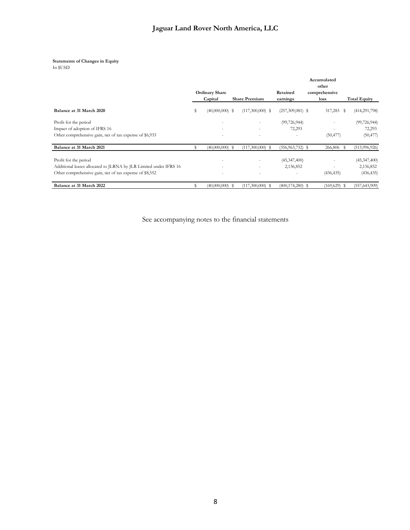#### **Statements of Changes in Equity**

In \$USD

|                                                                   |    |                       |                      |                      | Accumulated<br>other |                     |
|-------------------------------------------------------------------|----|-----------------------|----------------------|----------------------|----------------------|---------------------|
|                                                                   |    | <b>Ordinary Share</b> |                      | Retained             | comprehensive        |                     |
|                                                                   |    | Capital               | <b>Share Premium</b> | earnings             | loss                 | <b>Total Equity</b> |
| Balance at 31 March 2020                                          | \$ | $(40,000,000)$ \$     | $(117,300,000)$ \$   | $(257,309,081)$ \$   | 317,283 \$           | (414, 291, 798)     |
| Profit for the period                                             |    |                       | ٠                    | (99, 726, 944)       | -                    | (99, 726, 944)      |
| Impact of adoption of IFRS 16                                     |    |                       | ٠                    | 72,293               | ٠                    | 72,293              |
| Other comprehensive gain, net of tax expense of \$6,933           |    |                       | ٠                    |                      | (50, 477)            | (50, 477)           |
| Balance at 31 March 2021                                          | S  | $(40,000,000)$ \$     | $(117,300,000)$ \$   | $(356, 963, 732)$ \$ | 266,806 \$           | (513, 996, 926)     |
| Profit for the period                                             |    |                       | ٠                    | (45, 347, 400)       |                      | (45, 347, 400)      |
| Additional leases allocated to JLRNA by JLR Limited under IFRS 16 |    | -                     | ٠                    | 2,136,852            | -                    | 2,136,852           |
| Other comprehensive gain, net of tax expense of \$8,552           |    |                       | ٠                    |                      | (436, 435)           | (436, 435)          |
| Balance at 31 March 2022                                          | \$ | $(40,000,000)$ \$     | $(117,300,000)$ \$   | $(400, 174, 280)$ \$ | $(169, 629)$ \$      | (557, 643, 909)     |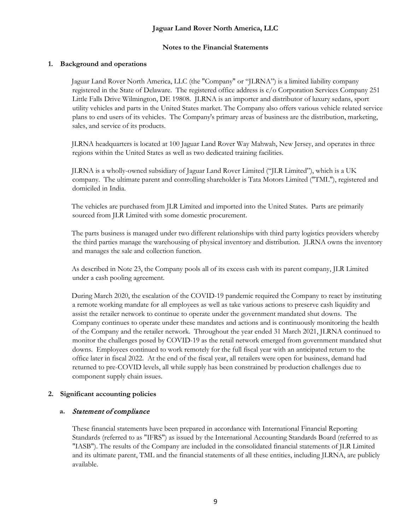## **Jaguar Land Rover North America, LLC**

#### **Notes to the Financial Statements**

#### **1. Background and operations**

Jaguar Land Rover North America, LLC (the "Company" or "JLRNA") is a limited liability company registered in the State of Delaware. The registered office address is c/o Corporation Services Company 251 Little Falls Drive Wilmington, DE 19808. JLRNA is an importer and distributor of luxury sedans, sport utility vehicles and parts in the United States market. The Company also offers various vehicle related service plans to end users of its vehicles. The Company's primary areas of business are the distribution, marketing, sales, and service of its products.

JLRNA headquarters is located at 100 Jaguar Land Rover Way Mahwah, New Jersey, and operates in three regions within the United States as well as two dedicated training facilities.

JLRNA is a wholly-owned subsidiary of Jaguar Land Rover Limited ("JLR Limited"), which is a UK company. The ultimate parent and controlling shareholder is Tata Motors Limited ("TML"), registered and domiciled in India.

The vehicles are purchased from JLR Limited and imported into the United States. Parts are primarily sourced from JLR Limited with some domestic procurement.

The parts business is managed under two different relationships with third party logistics providers whereby the third parties manage the warehousing of physical inventory and distribution. JLRNA owns the inventory and manages the sale and collection function.

As described in Note 23, the Company pools all of its excess cash with its parent company, JLR Limited under a cash pooling agreement.

During March 2020, the escalation of the COVID-19 pandemic required the Company to react by instituting a remote working mandate for all employees as well as take various actions to preserve cash liquidity and assist the retailer network to continue to operate under the government mandated shut downs. The Company continues to operate under these mandates and actions and is continuously monitoring the health of the Company and the retailer network. Throughout the year ended 31 March 2021, JLRNA continued to monitor the challenges posed by COVID-19 as the retail network emerged from government mandated shut downs. Employees continued to work remotely for the full fiscal year with an anticipated return to the office later in fiscal 2022. At the end of the fiscal year, all retailers were open for business, demand had returned to pre-COVID levels, all while supply has been constrained by production challenges due to component supply chain issues.

### **2. Significant accounting policies**

#### **a.** Statement of compliance

These financial statements have been prepared in accordance with International Financial Reporting Standards (referred to as "IFRS") as issued by the International Accounting Standards Board (referred to as "IASB"). The results of the Company are included in the consolidated financial statements of JLR Limited and its ultimate parent, TML and the financial statements of all these entities, including JLRNA, are publicly available.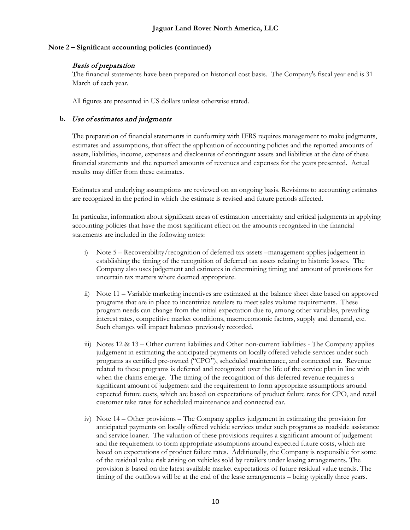## Basis of preparation

The financial statements have been prepared on historical cost basis. The Company's fiscal year end is 31 March of each year.

All figures are presented in US dollars unless otherwise stated.

## **b.** Use of estimates and judgments

The preparation of financial statements in conformity with IFRS requires management to make judgments, estimates and assumptions, that affect the application of accounting policies and the reported amounts of assets, liabilities, income, expenses and disclosures of contingent assets and liabilities at the date of these financial statements and the reported amounts of revenues and expenses for the years presented. Actual results may differ from these estimates.

Estimates and underlying assumptions are reviewed on an ongoing basis. Revisions to accounting estimates are recognized in the period in which the estimate is revised and future periods affected.

In particular, information about significant areas of estimation uncertainty and critical judgments in applying accounting policies that have the most significant effect on the amounts recognized in the financial statements are included in the following notes:

- i) Note 5 Recoverability/recognition of deferred tax assets –management applies judgement in establishing the timing of the recognition of deferred tax assets relating to historic losses. The Company also uses judgement and estimates in determining timing and amount of provisions for uncertain tax matters where deemed appropriate.
- ii) Note 11 Variable marketing incentives are estimated at the balance sheet date based on approved programs that are in place to incentivize retailers to meet sales volume requirements. These program needs can change from the initial expectation due to, among other variables, prevailing interest rates, competitive market conditions, macroeconomic factors, supply and demand, etc. Such changes will impact balances previously recorded.
- iii) Notes  $12 \& 13$  Other current liabilities and Other non-current liabilities The Company applies judgement in estimating the anticipated payments on locally offered vehicle services under such programs as certified pre-owned ("CPO"), scheduled maintenance, and connected car. Revenue related to these programs is deferred and recognized over the life of the service plan in line with when the claims emerge. The timing of the recognition of this deferred revenue requires a significant amount of judgement and the requirement to form appropriate assumptions around expected future costs, which are based on expectations of product failure rates for CPO, and retail customer take rates for scheduled maintenance and connected car.
- iv) Note 14 Other provisions The Company applies judgement in estimating the provision for anticipated payments on locally offered vehicle services under such programs as roadside assistance and service loaner. The valuation of these provisions requires a significant amount of judgement and the requirement to form appropriate assumptions around expected future costs, which are based on expectations of product failure rates. Additionally, the Company is responsible for some of the residual value risk arising on vehicles sold by retailers under leasing arrangements. The provision is based on the latest available market expectations of future residual value trends. The timing of the outflows will be at the end of the lease arrangements – being typically three years.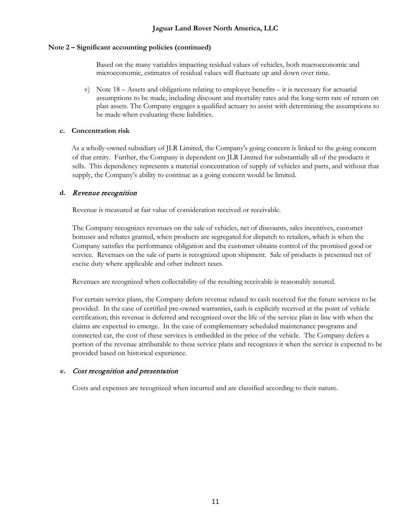Based on the many variables impacting residual values of vehicles, both macroeconomic and microeconomic, estimates of residual values will fluctuate up and down over time.

v) Note  $18 -$  Assets and obligations relating to employee benefits – it is necessary for actuarial assumptions to be made, including discount and mortality rates and the long-term rate of return on plan assets. The Company engages a qualified actuary to assist with determining the assumptions to be made when evaluating these liabilities.

## **c. Concentration risk**

As a wholly-owned subsidiary of JLR Limited, the Company's going concern is linked to the going concern of that entity. Further, the Company is dependent on JLR Limited for substantially all of the products it sells. This dependency represents a material concentration of supply of vehicles and parts, and without that supply, the Company's ability to continue as a going concern would be limited.

## **d.** Revenue recognition

Revenue is measured at fair value of consideration received or receivable.

The Company recognizes revenues on the sale of vehicles, net of discounts, sales incentives, customer bonuses and rebates granted, when products are segregated for dispatch to retailers, which is when the Company satisfies the performance obligation and the customer obtains control of the promised good or service. Revenues on the sale of parts is recognized upon shipment. Sale of products is presented net of excise duty where applicable and other indirect taxes.

Revenues are recognized when collectability of the resulting receivable is reasonably assured.

For certain service plans, the Company defers revenue related to cash received for the future services to be provided. In the case of certified pre-owned warranties, cash is explicitly received at the point of vehicle certification; this revenue is deferred and recognized over the life of the service plan in line with when the claims are expected to emerge. In the case of complementary scheduled maintenance programs and connected car, the cost of these services is embedded in the price of the vehicle. The Company defers a portion of the revenue attributable to these service plans and recognizes it when the service is expected to be provided based on historical experience.

## **e.** Cost recognition and presentation

Costs and expenses are recognized when incurred and are classified according to their nature.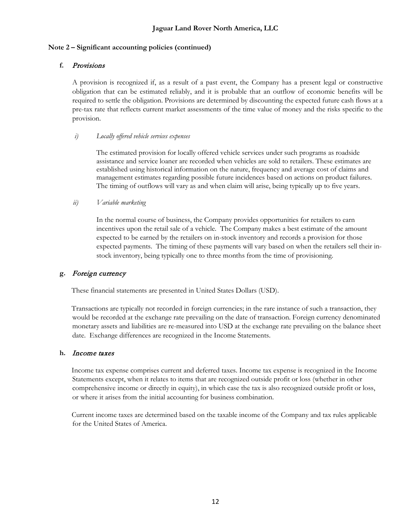## **f.** Provisions

A provision is recognized if, as a result of a past event, the Company has a present legal or constructive obligation that can be estimated reliably, and it is probable that an outflow of economic benefits will be required to settle the obligation. Provisions are determined by discounting the expected future cash flows at a pre-tax rate that reflects current market assessments of the time value of money and the risks specific to the provision.

### *i) Locally offered vehicle services expenses*

The estimated provision for locally offered vehicle services under such programs as roadside assistance and service loaner are recorded when vehicles are sold to retailers. These estimates are established using historical information on the nature, frequency and average cost of claims and management estimates regarding possible future incidences based on actions on product failures. The timing of outflows will vary as and when claim will arise, being typically up to five years.

## *ii) Variable marketing*

In the normal course of business, the Company provides opportunities for retailers to earn incentives upon the retail sale of a vehicle. The Company makes a best estimate of the amount expected to be earned by the retailers on in-stock inventory and records a provision for those expected payments. The timing of these payments will vary based on when the retailers sell their instock inventory, being typically one to three months from the time of provisioning.

## **g.** Foreign currency

These financial statements are presented in United States Dollars (USD).

Transactions are typically not recorded in foreign currencies; in the rare instance of such a transaction, they would be recorded at the exchange rate prevailing on the date of transaction. Foreign currency denominated monetary assets and liabilities are re-measured into USD at the exchange rate prevailing on the balance sheet date. Exchange differences are recognized in the Income Statements.

### **h.** Income taxes

Income tax expense comprises current and deferred taxes. Income tax expense is recognized in the Income Statements except, when it relates to items that are recognized outside profit or loss (whether in other comprehensive income or directly in equity), in which case the tax is also recognized outside profit or loss, or where it arises from the initial accounting for business combination.

Current income taxes are determined based on the taxable income of the Company and tax rules applicable for the United States of America.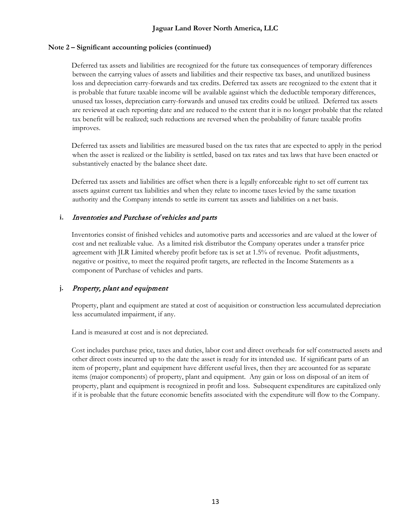Deferred tax assets and liabilities are recognized for the future tax consequences of temporary differences between the carrying values of assets and liabilities and their respective tax bases, and unutilized business loss and depreciation carry-forwards and tax credits. Deferred tax assets are recognized to the extent that it is probable that future taxable income will be available against which the deductible temporary differences, unused tax losses, depreciation carry-forwards and unused tax credits could be utilized. Deferred tax assets are reviewed at each reporting date and are reduced to the extent that it is no longer probable that the related tax benefit will be realized; such reductions are reversed when the probability of future taxable profits improves.

Deferred tax assets and liabilities are measured based on the tax rates that are expected to apply in the period when the asset is realized or the liability is settled, based on tax rates and tax laws that have been enacted or substantively enacted by the balance sheet date.

Deferred tax assets and liabilities are offset when there is a legally enforceable right to set off current tax assets against current tax liabilities and when they relate to income taxes levied by the same taxation authority and the Company intends to settle its current tax assets and liabilities on a net basis.

## **i.** Inventories and Purchase of vehicles and parts

Inventories consist of finished vehicles and automotive parts and accessories and are valued at the lower of cost and net realizable value. As a limited risk distributor the Company operates under a transfer price agreement with JLR Limited whereby profit before tax is set at 1.5% of revenue. Profit adjustments, negative or positive, to meet the required profit targets, are reflected in the Income Statements as a component of Purchase of vehicles and parts.

## **j.** Property, plant and equipment

Property, plant and equipment are stated at cost of acquisition or construction less accumulated depreciation less accumulated impairment, if any.

Land is measured at cost and is not depreciated.

Cost includes purchase price, taxes and duties, labor cost and direct overheads for self constructed assets and other direct costs incurred up to the date the asset is ready for its intended use. If significant parts of an item of property, plant and equipment have different useful lives, then they are accounted for as separate items (major components) of property, plant and equipment. Any gain or loss on disposal of an item of property, plant and equipment is recognized in profit and loss. Subsequent expenditures are capitalized only if it is probable that the future economic benefits associated with the expenditure will flow to the Company.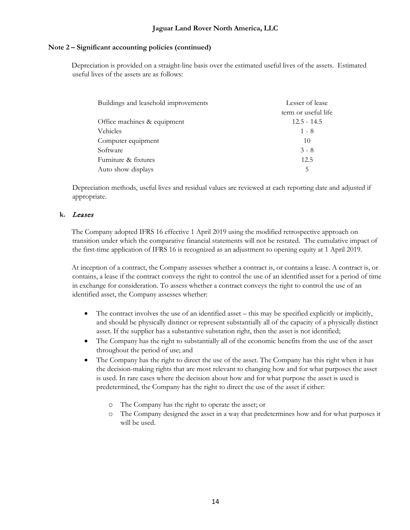Depreciation is provided on a straight-line basis over the estimated useful lives of the assets. Estimated useful lives of the assets are as follows:

| Buildings and leasehold improvements | Lesser of lease     |
|--------------------------------------|---------------------|
|                                      | term or useful life |
| Office machines & equipment          | $12.5 - 14.5$       |
| Vehicles                             | $1 - 8$             |
| Computer equipment                   | 10                  |
| Software                             | $3 - 8$             |
| Furniture & fixtures                 | 12.5                |
| Auto show displays                   | 5                   |

Depreciation methods, useful lives and residual values are reviewed at each reporting date and adjusted if appropriate.

## **k.** Leases

The Company adopted IFRS 16 effective 1 April 2019 using the modified retrospective approach on transition under which the comparative financial statements will not be restated. The cumulative impact of the first-time application of IFRS 16 is recognized as an adjustment to opening equity at 1 April 2019.

At inception of a contract, the Company assesses whether a contract is, or contains a lease. A contract is, or contains, a lease if the contract conveys the right to control the use of an identified asset for a period of time in exchange for consideration. To assess whether a contract conveys the right to control the use of an identified asset, the Company assesses whether:

- The contract involves the use of an identified asset this may be specified explicitly or implicitly, and should be physically distinct or represent substantially all of the capacity of a physically distinct asset. If the supplier has a substantive substation right, then the asset is not identified;
- The Company has the right to substantially all of the economic benefits from the use of the asset throughout the period of use; and
- The Company has the right to direct the use of the asset. The Company has this right when it has the decision-making rights that are most relevant to changing how and for what purposes the asset is used. In rare cases where the decision about how and for what purpose the asset is used is predetermined, the Company has the right to direct the use of the asset if either:
	- o The Company has the right to operate the asset; or
	- o The Company designed the asset in a way that predetermines how and for what purposes it will be used.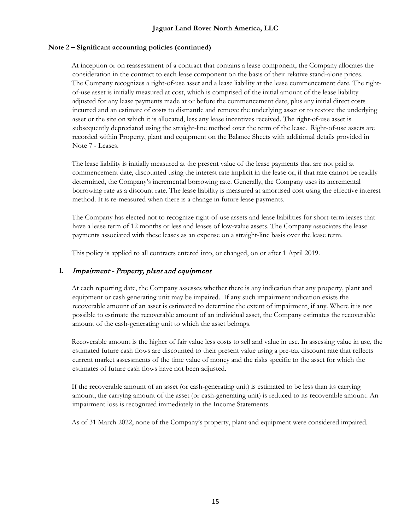## **Jaguar Land Rover North America, LLC**

#### **Note 2 – Significant accounting policies (continued)**

At inception or on reassessment of a contract that contains a lease component, the Company allocates the consideration in the contract to each lease component on the basis of their relative stand-alone prices. The Company recognizes a right-of-use asset and a lease liability at the lease commencement date. The rightof-use asset is initially measured at cost, which is comprised of the initial amount of the lease liability adjusted for any lease payments made at or before the commencement date, plus any initial direct costs incurred and an estimate of costs to dismantle and remove the underlying asset or to restore the underlying asset or the site on which it is allocated, less any lease incentives received. The right-of-use asset is subsequently depreciated using the straight-line method over the term of the lease. Right-of-use assets are recorded within Property, plant and equipment on the Balance Sheets with additional details provided in Note 7 - Leases.

The lease liability is initially measured at the present value of the lease payments that are not paid at commencement date, discounted using the interest rate implicit in the lease or, if that rate cannot be readily determined, the Company's incremental borrowing rate. Generally, the Company uses its incremental borrowing rate as a discount rate. The lease liability is measured at amortised cost using the effective interest method. It is re-measured when there is a change in future lease payments.

The Company has elected not to recognize right-of-use assets and lease liabilities for short-term leases that have a lease term of 12 months or less and leases of low-value assets. The Company associates the lease payments associated with these leases as an expense on a straight-line basis over the lease term.

This policy is applied to all contracts entered into, or changed, on or after 1 April 2019.

### **l.** Impairment - Property, plant and equipment

At each reporting date, the Company assesses whether there is any indication that any property, plant and equipment or cash generating unit may be impaired. If any such impairment indication exists the recoverable amount of an asset is estimated to determine the extent of impairment, if any. Where it is not possible to estimate the recoverable amount of an individual asset, the Company estimates the recoverable amount of the cash-generating unit to which the asset belongs.

Recoverable amount is the higher of fair value less costs to sell and value in use. In assessing value in use, the estimated future cash flows are discounted to their present value using a pre-tax discount rate that reflects current market assessments of the time value of money and the risks specific to the asset for which the estimates of future cash flows have not been adjusted.

If the recoverable amount of an asset (or cash-generating unit) is estimated to be less than its carrying amount, the carrying amount of the asset (or cash-generating unit) is reduced to its recoverable amount. An impairment loss is recognized immediately in the Income Statements.

As of 31 March 2022, none of the Company's property, plant and equipment were considered impaired.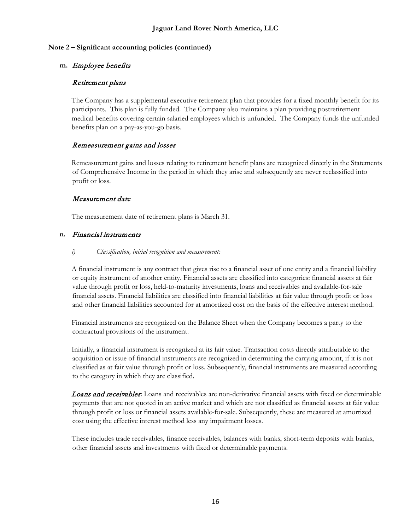## **m.** Employee benefits

## Retirement plans

The Company has a supplemental executive retirement plan that provides for a fixed monthly benefit for its participants. This plan is fully funded. The Company also maintains a plan providing postretirement medical benefits covering certain salaried employees which is unfunded. The Company funds the unfunded benefits plan on a pay-as-you-go basis.

## Remeasurement gains and losses

Remeasurement gains and losses relating to retirement benefit plans are recognized directly in the Statements of Comprehensive Income in the period in which they arise and subsequently are never reclassified into profit or loss.

## Measurement date

The measurement date of retirement plans is March 31.

### **n.** Financial instruments

### *i) Classification, initial recognition and measurement:*

A financial instrument is any contract that gives rise to a financial asset of one entity and a financial liability or equity instrument of another entity. Financial assets are classified into categories: financial assets at fair value through profit or loss, held-to-maturity investments, loans and receivables and available-for-sale financial assets. Financial liabilities are classified into financial liabilities at fair value through profit or loss and other financial liabilities accounted for at amortized cost on the basis of the effective interest method.

Financial instruments are recognized on the Balance Sheet when the Company becomes a party to the contractual provisions of the instrument.

Initially, a financial instrument is recognized at its fair value. Transaction costs directly attributable to the acquisition or issue of financial instruments are recognized in determining the carrying amount, if it is not classified as at fair value through profit or loss. Subsequently, financial instruments are measured according to the category in which they are classified.

**Loans and receivables:** Loans and receivables are non-derivative financial assets with fixed or determinable payments that are not quoted in an active market and which are not classified as financial assets at fair value through profit or loss or financial assets available-for-sale. Subsequently, these are measured at amortized cost using the effective interest method less any impairment losses.

These includes trade receivables, finance receivables, balances with banks, short-term deposits with banks, other financial assets and investments with fixed or determinable payments.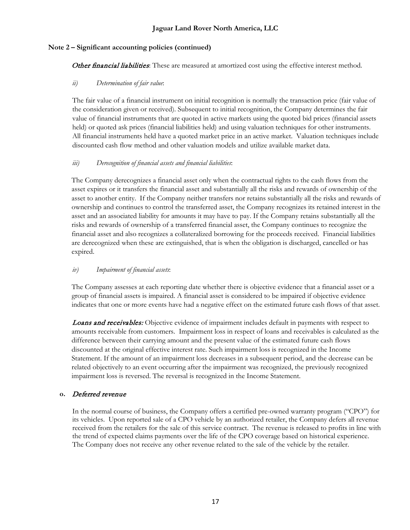Other financial liabilities: These are measured at amortized cost using the effective interest method.

## *ii) Determination of fair value*:

The fair value of a financial instrument on initial recognition is normally the transaction price (fair value of the consideration given or received). Subsequent to initial recognition, the Company determines the fair value of financial instruments that are quoted in active markets using the quoted bid prices (financial assets held) or quoted ask prices (financial liabilities held) and using valuation techniques for other instruments. All financial instruments held have a quoted market price in an active market. Valuation techniques include discounted cash flow method and other valuation models and utilize available market data.

## *iii) Derecognition of financial assets and financial liabilities*:

The Company derecognizes a financial asset only when the contractual rights to the cash flows from the asset expires or it transfers the financial asset and substantially all the risks and rewards of ownership of the asset to another entity. If the Company neither transfers nor retains substantially all the risks and rewards of ownership and continues to control the transferred asset, the Company recognizes its retained interest in the asset and an associated liability for amounts it may have to pay. If the Company retains substantially all the risks and rewards of ownership of a transferred financial asset, the Company continues to recognize the financial asset and also recognizes a collateralized borrowing for the proceeds received.Financial liabilities are derecognized when these are extinguished, that is when the obligation is discharged, cancelled or has expired.

## *iv) Impairment of financial assets*:

The Company assesses at each reporting date whether there is objective evidence that a financial asset or a group of financial assets is impaired. A financial asset is considered to be impaired if objective evidence indicates that one or more events have had a negative effect on the estimated future cash flows of that asset.

**Loans and receivables:** Objective evidence of impairment includes default in payments with respect to amounts receivable from customers. Impairment loss in respect of loans and receivables is calculated as the difference between their carrying amount and the present value of the estimated future cash flows discounted at the original effective interest rate. Such impairment loss is recognized in the Income Statement. If the amount of an impairment loss decreases in a subsequent period, and the decrease can be related objectively to an event occurring after the impairment was recognized, the previously recognized impairment loss is reversed. The reversal is recognized in the Income Statement.

## **o.** Deferred revenue

In the normal course of business, the Company offers a certified pre-owned warranty program ("CPO") for its vehicles. Upon reported sale of a CPO vehicle by an authorized retailer, the Company defers all revenue received from the retailers for the sale of this service contract. The revenue is released to profits in line with the trend of expected claims payments over the life of the CPO coverage based on historical experience. The Company does not receive any other revenue related to the sale of the vehicle by the retailer.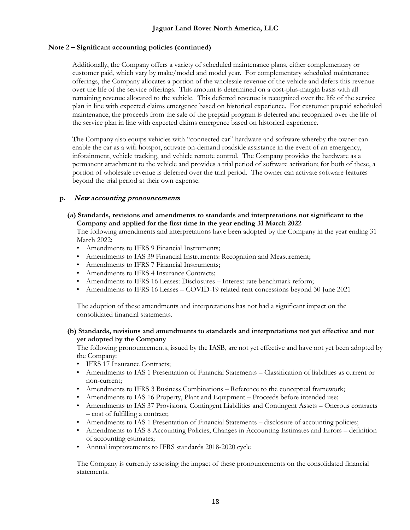Additionally, the Company offers a variety of scheduled maintenance plans, either complementary or customer paid, which vary by make/model and model year. For complementary scheduled maintenance offerings, the Company allocates a portion of the wholesale revenue of the vehicle and defers this revenue over the life of the service offerings. This amount is determined on a cost-plus-margin basis with all remaining revenue allocated to the vehicle. This deferred revenue is recognized over the life of the service plan in line with expected claims emergence based on historical experience. For customer prepaid scheduled maintenance, the proceeds from the sale of the prepaid program is deferred and recognized over the life of the service plan in line with expected claims emergence based on historical experience.

The Company also equips vehicles with "connected car" hardware and software whereby the owner can enable the car as a wifi hotspot, activate on-demand roadside assistance in the event of an emergency, infotainment, vehicle tracking, and vehicle remote control. The Company provides the hardware as a permanent attachment to the vehicle and provides a trial period of software activation; for both of these, a portion of wholesale revenue is deferred over the trial period. The owner can activate software features beyond the trial period at their own expense.

## **p.** New accounting pronouncements

## **(a) Standards, revisions and amendments to standards and interpretations not significant to the Company and applied for the first time in the year ending 31 March 2022**

The following amendments and interpretations have been adopted by the Company in the year ending 31 March 2022:

- Amendments to IFRS 9 Financial Instruments;
- Amendments to IAS 39 Financial Instruments: Recognition and Measurement;
- Amendments to IFRS 7 Financial Instruments;
- Amendments to IFRS 4 Insurance Contracts;
- Amendments to IFRS 16 Leases: Disclosures Interest rate benchmark reform;
- Amendments to IFRS 16 Leases COVID-19 related rent concessions beyond 30 June 2021

The adoption of these amendments and interpretations has not had a significant impact on the consolidated financial statements.

#### **(b) Standards, revisions and amendments to standards and interpretations not yet effective and not yet adopted by the Company**

The following pronouncements, issued by the IASB, are not yet effective and have not yet been adopted by the Company:

- IFRS 17 Insurance Contracts:
- Amendments to IAS 1 Presentation of Financial Statements Classification of liabilities as current or non-current;
- Amendments to IFRS 3 Business Combinations Reference to the conceptual framework;
- Amendments to IAS 16 Property, Plant and Equipment Proceeds before intended use;
- Amendments to IAS 37 Provisions, Contingent Liabilities and Contingent Assets Onerous contracts – cost of fulfilling a contract;
- Amendments to IAS 1 Presentation of Financial Statements disclosure of accounting policies;
- Amendments to IAS 8 Accounting Policies, Changes in Accounting Estimates and Errors definition of accounting estimates;
- Annual improvements to IFRS standards 2018-2020 cycle

The Company is currently assessing the impact of these pronouncements on the consolidated financial statements.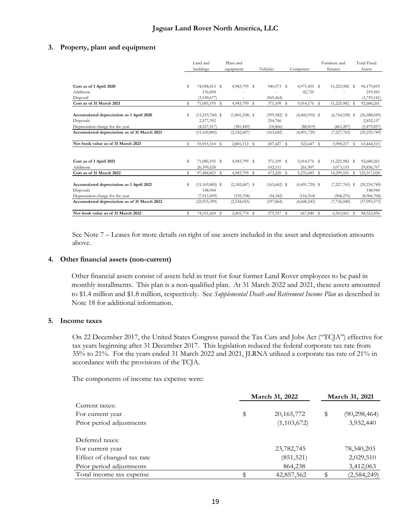#### **3. Property, plant and equipment**

|                                              |   | Land and<br>buildings | Plant and<br>equipment | Vehicles        | Computers        |    | Furniture and<br>fixtures |   | <b>Total Fixed</b><br>Assets |
|----------------------------------------------|---|-----------------------|------------------------|-----------------|------------------|----|---------------------------|---|------------------------------|
|                                              |   |                       |                        |                 |                  |    |                           |   |                              |
| Cost as of 1 April 2020                      | s | 74,058,013 \$         | 4,983,799 \$           | 940,573 \$      | 4,971,451 \$     |    | 11,225,982 \$             |   | 96,179,819                   |
| Additions                                    |   | 176,858               |                        |                 | 42,725           |    |                           |   | 219,583                      |
| Disposal                                     |   | (3, 149, 677)         | ٠                      | (569, 464)      | ٠                |    |                           |   | (3,719,141)                  |
| Cost as of 31 March 2021                     | s | 71,085,195 \$         | 4,983,799 \$           | 371,109 \$      | 5,014,176 \$     |    | 11,225,982                | s | 92,680,261                   |
| Accumulated depreciation as 1 April 2020     | s | $(13,219,760)$ \$     | $(1,801,238)$ \$       | $(399, 582)$ \$ | $(4,402,910)$ \$ |    | $(6,764,558)$ \$          |   | (26, 588, 049)               |
| Disposals                                    |   | 2,577,392             |                        | 254,766         |                  |    |                           |   | 2,832,157                    |
| Depreciation charge for the year             |   | (4,527,517)           | (381, 449)             | (18, 866)       | (88, 819)        |    | (463, 207)                |   | (5,479,857)                  |
| Accumulated depreciation as of 31 March 2021 |   | (15, 169, 885)        | (2,182,687)            | (163, 682)      | (4,491,729)      |    | (7,227,765)               |   | (29, 235, 749)               |
| Net book value as of 31 March 2021           | s | 55,915,310 \$         | 2,801,112 \$           | 207,427 \$      | 522,447          | -S | 3,998,217                 | s | 63,444,513                   |
| Cost as of 1 April 2021                      | s | 71,085,195 \$         | 4,983,799 \$           | 371,109 \$      | 5,014,176 \$     |    | 11,225,982 \$             |   | 92,680,261                   |
| Additions                                    |   | 26,399,628            |                        | 102,111         | 261,907          |    | 3,073,119                 |   | 29,836,767                   |
| Cost as of 31 March 2022                     | s | 97,484,823 \$         | 4,983,799 \$           | 473,220 \$      | 5,276,083 \$     |    | 14,299,101                |   | 122,517,028                  |
| Accumulated depreciation as 1 April 2021     |   | $(15, 169, 885)$ \$   | $(2,182,687)$ \$       | $(163, 682)$ \$ | $(4,491,729)$ \$ |    | $(7,227,765)$ \$          |   | (29, 235, 749)               |
| Disposals                                    |   | 148,944               |                        |                 |                  |    |                           |   | 148,944                      |
| Depreciation charge for the year             |   | (7, 912, 459)         | (335, 338)             | (34, 182)       | (116, 514)       |    | (508, 276)                |   | (8,906,768)                  |
| Accumulated depreciation as of 31 March 2022 |   | (22, 933, 399)        | (2,518,025)            | (197, 864)      | (4,608,243)      |    | (7,736,040)               |   | (37, 993, 573)               |
| Net book value as of 31 March 2022           | s | 74,551,424 \$         | 2,465,774 \$           | 275,357 \$      | 667,840 \$       |    | 6,563,061                 | s | 84,523,456                   |

See Note 7 – Leases for more details on right of use assets included in the asset and depreciation amounts above.

#### **4. Other financial assets (non-current)**

Other financial assets consist of assets held in trust for four former Land Rover employees to be paid in monthly installments. This plan is a non-qualified plan. At 31 March 2022 and 2021, these assets amounted to \$1.4 million and \$1.8 million, respectively. See *Supplemental Death and Retirement Income Plan* as described in Note 18 for additional information.

#### **5. Income taxes**

On 22 December 2017, the United States Congress passed the Tax Cuts and Jobs Act ("TCJA") effective for tax years beginning after 31 December 2017. This legislation reduced the federal corporate tax rate from 35% to 21%. For the years ended 31 March 2022 and 2021, JLRNA utilized a corporate tax rate of 21% in accordance with the provisions of the TCJA.

The components of income tax expense were:

|                            | March 31, 2022 |               |    |                |
|----------------------------|----------------|---------------|----|----------------|
| Current taxes:             |                |               |    |                |
| For current year           | \$             | 20, 165, 772  | \$ | (90, 298, 464) |
| Prior period adjustments   |                | (1, 103, 672) |    | 3,932,440      |
| Deferred taxes:            |                |               |    |                |
| For current year           |                | 23,782,745    |    | 78,340,203     |
| Effect of changed tax rate |                | (851, 521)    |    | 2,029,510      |
| Prior period adjustments   |                | 864,238       |    | 3,412,063      |
| Total income tax expense   |                | 42,857,562    |    | (2,584,249)    |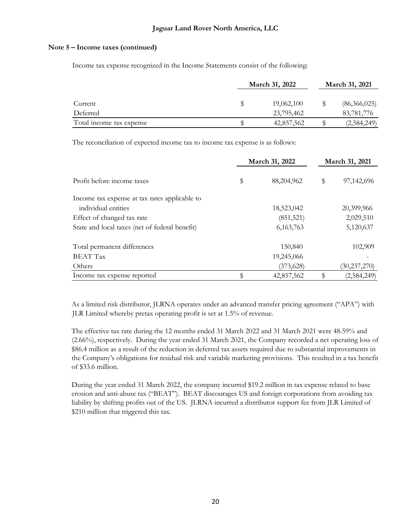### **Note 5 – Income taxes (continued)**

Income tax expense recognized in the Income Statements consist of the following:

|                          | March 31, 2022 | March 31, 2021 |
|--------------------------|----------------|----------------|
| Current                  | 19,062,100     | (86,366,025)   |
| Deferred                 | 23,795,462     | 83,781,776     |
| Total income tax expense | 42,857,562     | (2,584,249)    |

The reconciliation of expected income tax to income tax expense is as follows:

|                                                | March 31, 2022   | March 31, 2021 |                |  |  |
|------------------------------------------------|------------------|----------------|----------------|--|--|
| Profit before income taxes                     | \$<br>88,204,962 | \$             | 97,142,696     |  |  |
| Income tax expense at tax rates applicable to  |                  |                |                |  |  |
| individual entities                            | 18,523,042       |                | 20,399,966     |  |  |
| Effect of changed tax rate                     | (851, 521)       |                | 2,029,510      |  |  |
| State and local taxes (net of federal benefit) | 6,163,763        |                | 5,120,637      |  |  |
| Total permanent differences                    | 150,840          |                | 102,909        |  |  |
| <b>BEAT Tax</b>                                | 19,245,066       |                |                |  |  |
| Others                                         | (373, 628)       |                | (30, 237, 270) |  |  |
| Income tax expense reported                    | \$<br>42,857,562 |                | (2,584,249)    |  |  |

As a limited risk distributor, JLRNA operates under an advanced transfer pricing agreement ("APA") with JLR Limited whereby pretax operating profit is set at 1.5% of revenue.

The effective tax rate during the 12 months ended 31 March 2022 and 31 March 2021 were 48.59% and (2.66%), respectively. During the year ended 31 March 2021, the Company recorded a net operating loss of \$86.4 million as a result of the reduction in deferred tax assets required due to substantial improvements in the Company's obligations for residual risk and variable marketing provisions. This resulted in a tax benefit of \$33.6 million.

During the year ended 31 March 2022, the company incurred \$19.2 million in tax expense related to base erosion and anti-abuse tax ("BEAT"). BEAT discourages US and foreign corporations from avoiding tax liability by shifting profits out of the US. JLRNA incurred a distributor support fee from JLR Limited of \$210 million that triggered this tax.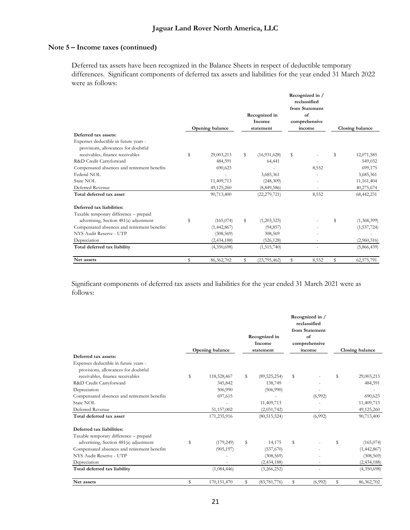## **Note 5 – Income taxes (continued)**

Deferred tax assets have been recognized in the Balance Sheets in respect of deductible temporary differences. Significant components of deferred tax assets and liabilities for the year ended 31 March 2022 were as follows:

| Deferred tax assets:                                                         |    | Opening balance |    | Recognized in<br>Income<br>statement |    | Recognized in /<br>reclassified<br>from Statement<br>of<br>comprehensive<br>income |    | Closing balance |
|------------------------------------------------------------------------------|----|-----------------|----|--------------------------------------|----|------------------------------------------------------------------------------------|----|-----------------|
| Expenses deductible in future years -<br>provisions, allowances for doubtful |    |                 |    |                                      |    |                                                                                    |    |                 |
| receivables, finance receivables                                             | \$ | 29,003,213      | \$ | (16, 931, 628)                       | \$ |                                                                                    | \$ | 12,071,585      |
| R&D Credit Carryforward                                                      |    | 484,591         |    | 64,441                               |    |                                                                                    |    | 549,032         |
| Compensated absences and retirement benefits                                 |    | 690,623         |    |                                      |    | 8,552                                                                              |    | 699,175         |
| Federal NOL                                                                  |    |                 |    | 3,685,361                            |    |                                                                                    |    | 3,685,361       |
| State NOL                                                                    |    | 11,409,713      |    | (248,309)                            |    |                                                                                    |    | 11, 161, 404    |
| Deferred Revenue                                                             |    | 49,125,260      |    | (8, 849, 586)                        |    |                                                                                    |    | 40,275,674      |
| Total deferred tax asset                                                     |    | 90,713,400      |    | (22, 279, 721)                       |    | 8,552                                                                              |    | 68,442,231      |
| Deferred tax liabilities:                                                    |    |                 |    |                                      |    |                                                                                    |    |                 |
| Taxable temporary difference - prepaid                                       |    |                 |    |                                      |    |                                                                                    |    |                 |
| advertising, Section 481(a) adjustment                                       | S  | (165, 074)      | \$ | (1,203,325)                          |    |                                                                                    | \$ | (1,368,399)     |
| Compensated absences and retirement benefits                                 |    | (1,442,867)     |    | (94, 857)                            |    |                                                                                    |    | (1,537,724)     |
| NYS Audit Reserve - UTP                                                      |    | (308, 569)      |    | 308,569                              |    |                                                                                    |    |                 |
| Depreciation                                                                 |    | (2,434,188)     |    | (526, 128)                           |    |                                                                                    |    | (2,960,316)     |
| Total deferred tax liability                                                 |    | (4,350,698)     |    | (1,515,740)                          |    |                                                                                    |    | (5,866,439)     |
| Net assets                                                                   | \$ | 86,362,702      | \$ | (23, 795, 462)                       | \$ | 8,552                                                                              | \$ | 62,575,791      |

Significant components of deferred tax assets and liabilities for the year ended 31 March 2021 were as follows:

| Deferred tax assets:<br>Expenses deductible in future years -           | Opening balance   | Recognized in<br>Income<br>statement | Recognized in /<br>reclassified<br>from Statement<br>$\alpha$ f<br>comprehensive<br>income | Closing balance  |
|-------------------------------------------------------------------------|-------------------|--------------------------------------|--------------------------------------------------------------------------------------------|------------------|
| provisions, allowances for doubtful<br>receivables, finance receivables | \$<br>118,528,467 | \$<br>(89, 525, 254)                 | \$                                                                                         | \$<br>29,003,213 |
| R&D Credit Carryforward                                                 | 345,842           | 138,749                              |                                                                                            | 484,591          |
| Depreciation                                                            | 506,990           | (506,990)                            |                                                                                            |                  |
| Compensated absences and retirement benefits                            | 697,615           |                                      | (6,992)                                                                                    | 690,623          |
| State NOL                                                               |                   | 11,409,713                           |                                                                                            | 11,409,713       |
| Deferred Revenue                                                        | 51,157,002        | (2,031,742)                          |                                                                                            | 49,125,260       |
| Total deferred tax asset                                                | 171,235,916       | (80, 515, 524)                       | (6,992)                                                                                    | 90,713,400       |
| Deferred tax liabilities:                                               |                   |                                      |                                                                                            |                  |
| Taxable temporary difference - prepaid                                  |                   |                                      |                                                                                            |                  |
| advertising, Section 481(a) adjustment                                  | \$<br>(179, 249)  | \$<br>14,175                         | \$                                                                                         | \$<br>(165,074)  |
| Compensated absences and retirement benefits                            | (905, 197)        | (537,670)                            |                                                                                            | (1,442,867)      |
| NYS Audit Reserve - UTP                                                 |                   | (308, 569)                           |                                                                                            | (308, 569)       |
| Depreciation                                                            |                   | (2, 434, 188)                        |                                                                                            | (2, 434, 188)    |
| Total deferred tax liability                                            | (1,084,446)       | (3,266,252)                          |                                                                                            | (4,350,698)      |
| Net assets                                                              | \$<br>170,151,470 | \$<br>(83, 781, 776)                 | \$<br>(6,992)                                                                              | \$<br>86,362,702 |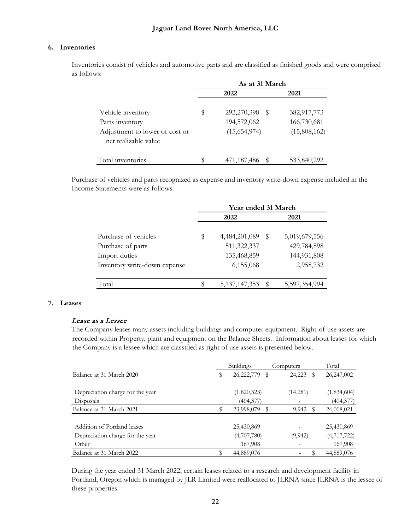### **6. Inventories**

Inventories consist of vehicles and automotive parts and are classified as finished goods and were comprised as follows:

|                                                        | As at 31 March |                |              |  |  |  |
|--------------------------------------------------------|----------------|----------------|--------------|--|--|--|
|                                                        |                | 2022           | 2021         |  |  |  |
| Vehicle inventory                                      | \$             | 292,270,398 \$ | 382,917,773  |  |  |  |
| Parts inventory                                        |                | 194,572,062    | 166,730,681  |  |  |  |
| Adjustment to lower of cost or<br>net realizable value |                | (15,654,974)   | (15,808,162) |  |  |  |
| Total inventories                                      | \$             | 471,187,486    | 533,840,292  |  |  |  |

Purchase of vehicles and parts recognized as expense and inventory write-down expense included in the Income Statements were as follows:

|                              |    | Year ended 31 March |   |               |  |  |  |
|------------------------------|----|---------------------|---|---------------|--|--|--|
|                              |    | 2022                |   | 2021          |  |  |  |
|                              |    |                     |   |               |  |  |  |
| Purchase of vehicles         | \$ | 4,484,201,089       | S | 5,019,679,556 |  |  |  |
| Purchase of parts            |    | 511,322,337         |   | 429,784,898   |  |  |  |
| Import duties                |    | 135,468,859         |   | 144,931,808   |  |  |  |
| Inventory write-down expense |    | 6,155,068           |   | 2,958,732     |  |  |  |
|                              |    |                     |   |               |  |  |  |
| Total                        | S  | 5, 137, 147, 353    | S | 5,597,354,994 |  |  |  |

### **7. Leases**

#### Lease as a Lessee

The Company leases many assets including buildings and computer equipment. Right-of-use assets are recorded within Property, plant and equipment on the Balance Sheets. Information about leases for which the Company is a lessee which are classified as right of use assets is presented below.

|                                  | <b>Buildings</b> |             | Computers   |   | Total         |  |
|----------------------------------|------------------|-------------|-------------|---|---------------|--|
| Balance at 31 March 2020         | S                | 26,222,779  | 24,223<br>S | S | 26,247,002    |  |
| Depreciation charge for the year |                  | (1,820,323) | (14,281)    |   | (1,834,604)   |  |
| Disposals                        |                  | (404, 377)  |             |   | (404, 377)    |  |
| Balance at 31 March 2021         |                  | 23,998,079  | 9,942       | S | 24,008,021    |  |
| Addition of Portland leases      |                  | 25,430,869  |             |   | 25,430,869    |  |
| Depreciation charge for the year |                  | (4,707,780) | (9,942)     |   | (4, 717, 722) |  |
| Other                            |                  | 167,908     |             |   | 167,908       |  |
| Balance at 31 March 2022         | S                | 44,889,076  |             |   | 44,889,076    |  |

During the year ended 31 March 2022, certain leases related to a research and development facility in Portland, Oregon which is managed by JLR Limited were reallocated to JLRNA since JLRNA is the lessee of these properties.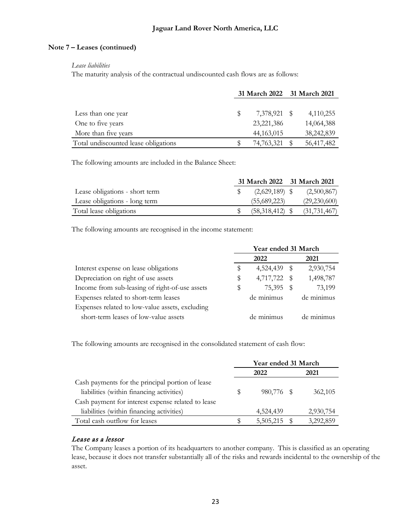## **Note 7 – Leases (continued)**

#### *Lease liabilities*

The maturity analysis of the contractual undiscounted cash flows are as follows:

|                                      | 31 March 2022 31 March 2021 |  |            |
|--------------------------------------|-----------------------------|--|------------|
|                                      |                             |  |            |
| Less than one year                   | 7,378,921 \$                |  | 4,110,255  |
| One to five years                    | 23, 221, 386                |  | 14,064,388 |
| More than five years                 | 44, 163, 015                |  | 38,242,839 |
| Total undiscounted lease obligations | 74,763,321                  |  | 56,417,482 |

The following amounts are included in the Balance Sheet:

|                                | 31 March 2022 31 March 2021 |                |
|--------------------------------|-----------------------------|----------------|
| Lease obligations - short term | $(2,629,189)$ \$            | (2,500,867)    |
| Lease obligations - long term  | (55,689,223)                | (29, 230, 600) |
| Total lease obligations        | $(58,318,412)$ \$           | (31, 731, 467) |

The following amounts are recognised in the income statement:

|                                                 | Year ended 31 March |              |  |            |
|-------------------------------------------------|---------------------|--------------|--|------------|
|                                                 |                     | 2022         |  | 2021       |
| Interest expense on lease obligations           | S                   | 4,524,439 \$ |  | 2,930,754  |
| Depreciation on right of use assets             | S                   | 4,717,722 \$ |  | 1,498,787  |
| Income from sub-leasing of right-of-use assets  | \$                  | 75,395       |  | 73,199     |
| Expenses related to short-term leases           |                     | de minimus   |  | de minimus |
| Expenses related to low-value assets, excluding |                     |              |  |            |
| short-term leases of low-value assets           |                     | de minimus   |  | de minimus |

The following amounts are recognised in the consolidated statement of cash flow:

|                                                    | Year ended 31 March |              |  |           |
|----------------------------------------------------|---------------------|--------------|--|-----------|
|                                                    |                     | 2022         |  | 2021      |
| Cash payments for the principal portion of lease   |                     |              |  |           |
| liabilities (within financing activities)          | \$                  | 980,776 \$   |  | 362,105   |
| Cash payment for interest expense related to lease |                     |              |  |           |
| liabilities (within financing activities)          |                     | 4,524,439    |  | 2,930,754 |
| Total cash outflow for leases                      | Ъ                   | 5,505,215 \$ |  | 3,292,859 |

# Lease as a lessor

The Company leases a portion of its headquarters to another company. This is classified as an operating lease, because it does not transfer substantially all of the risks and rewards incidental to the ownership of the asset.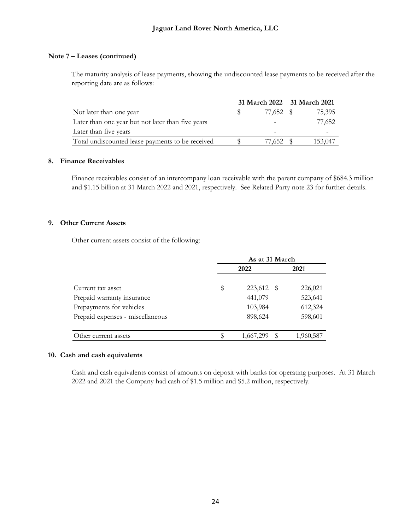## **Note 7 – Leases (continued)**

The maturity analysis of lease payments, showing the undiscounted lease payments to be received after the reporting date are as follows:

|                                                   | 31 March 2022 31 March 2021 |           |         |
|---------------------------------------------------|-----------------------------|-----------|---------|
| Not later than one year                           |                             | 77,652 \$ | 75,395  |
| Later than one year but not later than five years |                             |           | 77,652  |
| Later than five years                             |                             |           |         |
| Total undiscounted lease payments to be received  |                             | 77.652 \$ | 153,047 |

#### **8. Finance Receivables**

Finance receivables consist of an intercompany loan receivable with the parent company of \$684.3 million and \$1.15 billion at 31 March 2022 and 2021, respectively. See Related Party note 23 for further details.

## **9. Other Current Assets**

Other current assets consist of the following:

|                                  | As at 31 March       |           |  |  |  |
|----------------------------------|----------------------|-----------|--|--|--|
|                                  | 2022                 | 2021      |  |  |  |
| Current tax asset                | \$<br>223,612<br>- S | 226,021   |  |  |  |
| Prepaid warranty insurance       | 441,079              | 523,641   |  |  |  |
| Prepayments for vehicles         | 103,984              | 612,324   |  |  |  |
| Prepaid expenses - miscellaneous | 898,624              | 598,601   |  |  |  |
|                                  |                      |           |  |  |  |
| Other current assets             | 1,667,299<br>S       | 1,960,587 |  |  |  |

### **10. Cash and cash equivalents**

Cash and cash equivalents consist of amounts on deposit with banks for operating purposes. At 31 March 2022 and 2021 the Company had cash of \$1.5 million and \$5.2 million, respectively.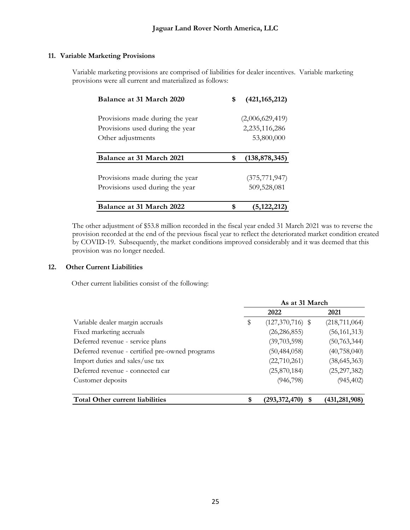## **11. Variable Marketing Provisions**

Variable marketing provisions are comprised of liabilities for dealer incentives. Variable marketing provisions were all current and materialized as follows:

| Balance at 31 March 2020        | \$<br>(421, 165, 212) |
|---------------------------------|-----------------------|
| Provisions made during the year | (2,006,629,419)       |
| Provisions used during the year | 2,235,116,286         |
| Other adjustments               | 53,800,000            |
|                                 |                       |
| Balance at 31 March 2021        | \$<br>(138, 878, 345) |
|                                 |                       |
| Provisions made during the year | (375, 771, 947)       |
| Provisions used during the year | 509,528,081           |
| Balance at 31 March 2022        | (5, 122, 212)         |

The other adjustment of \$53.8 million recorded in the fiscal year ended 31 March 2021 was to reverse the provision recorded at the end of the previous fiscal year to reflect the deteriorated market condition created by COVID-19. Subsequently, the market conditions improved considerably and it was deemed that this provision was no longer needed.

### **12. Other Current Liabilities**

Other current liabilities consist of the following:

|                                                 | As at 31 March |                    |                 |  |
|-------------------------------------------------|----------------|--------------------|-----------------|--|
|                                                 |                | 2022               | 2021            |  |
| Variable dealer margin accruals                 | \$             | $(127,370,716)$ \$ | (218, 711, 064) |  |
| Fixed marketing accruals                        |                | (26, 286, 855)     | (56, 161, 313)  |  |
| Deferred revenue - service plans                |                | (39,703,598)       | (50, 763, 344)  |  |
| Deferred revenue - certified pre-owned programs |                | (50, 484, 058)     | (40, 758, 040)  |  |
| Import duties and sales/use tax                 |                | (22,710,261)       | (38, 645, 363)  |  |
| Deferred revenue - connected car                |                | (25,870,184)       | (25, 297, 382)  |  |
| Customer deposits                               |                | (946, 798)         | (945, 402)      |  |
| <b>Total Other current liabilities</b>          | \$             | (293,372,470)      | (431,281,908)   |  |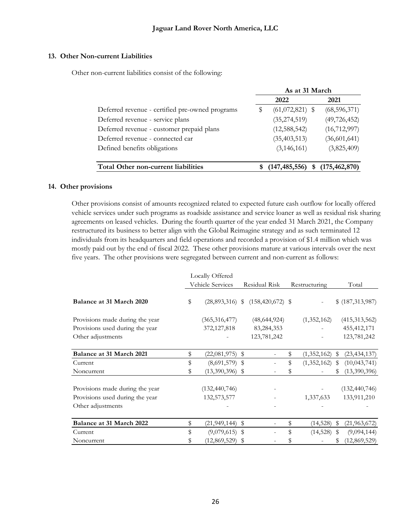### **13. Other Non-current Liabilities**

Other non-current liabilities consist of the following:

|                                                 |   | As at 31 March       |                 |
|-------------------------------------------------|---|----------------------|-----------------|
|                                                 |   | 2022                 | 2021            |
| Deferred revenue - certified pre-owned programs | S | $(61,072,821)$ \$    | (68, 596, 371)  |
| Deferred revenue - service plans                |   | (35, 274, 519)       | (49, 726, 452)  |
| Deferred revenue - customer prepaid plans       |   | (12, 588, 542)       | (16, 712, 997)  |
| Deferred revenue - connected car                |   | (35, 403, 513)       | (36,601,641)    |
| Defined benefits obligations                    |   | (3, 146, 161)        | (3,825,409)     |
|                                                 |   |                      |                 |
| Total Other non-current liabilities             |   | (147, 485, 556)<br>S | (175, 462, 870) |

### **14. Other provisions**

Other provisions consist of amounts recognized related to expected future cash outflow for locally offered vehicle services under such programs as roadside assistance and service loaner as well as residual risk sharing agreements on leased vehicles. During the fourth quarter of the year ended 31 March 2021, the Company restructured its business to better align with the Global Reimagine strategy and as such terminated 12 individuals from its headquarters and field operations and recorded a provision of \$1.4 million which was mostly paid out by the end of fiscal 2022. These other provisions mature at various intervals over the next five years. The other provisions were segregated between current and non-current as follows:

|                                 | Locally Offered           |                                      |                     |              |                  |
|---------------------------------|---------------------------|--------------------------------------|---------------------|--------------|------------------|
|                                 | Vehicle Services          | Residual Risk                        | Restructuring       |              | Total            |
| Balance at 31 March 2020        | \$                        | $(28,893,316)$ \$ $(158,420,672)$ \$ |                     |              | \$ (187,313,987) |
| Provisions made during the year | (365, 316, 477)           | (48, 644, 924)                       | (1,352,162)         |              | (415, 313, 562)  |
| Provisions used during the year | 372, 127, 818             | 83,284,353                           |                     |              | 455, 412, 171    |
| Other adjustments               |                           | 123,781,242                          |                     |              | 123,781,242      |
| Balance at 31 March 2021        | \$<br>$(22,081,975)$ \$   |                                      | (1,352,162)         | $\mathbb{S}$ | (23, 434, 137)   |
| Current                         | \$<br>$(8,691,579)$ \$    |                                      | \$<br>(1,352,162)   | \$           | (10,043,741)     |
| Noncurrent                      | \$<br>$(13,390,396)$ \$   |                                      |                     | S            | (13,390,396)     |
| Provisions made during the year | (132, 440, 746)           |                                      |                     |              | (132, 440, 746)  |
| Provisions used during the year | 132,573,577               |                                      | 1,337,633           |              | 133,911,210      |
| Other adjustments               |                           |                                      |                     |              |                  |
| Balance at 31 March 2022        | \$<br>$(21, 949, 144)$ \$ |                                      | \$<br>$(14,528)$ \$ |              | (21, 963, 672)   |
| Current                         | \$<br>$(9,079,615)$ \$    |                                      | $(14,528)$ \$       |              | (9,094,144)      |
| Noncurrent                      | $(12,869,529)$ \$         |                                      |                     |              | (12, 869, 529)   |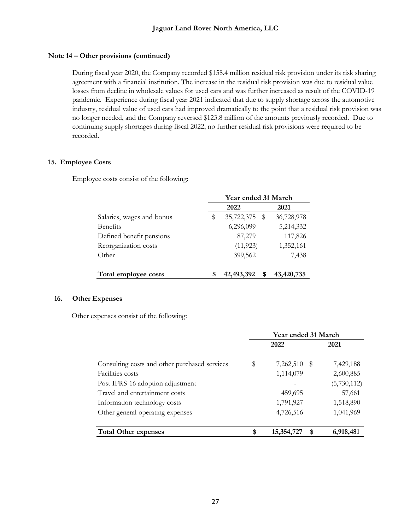## **Note 14 – Other provisions (continued)**

During fiscal year 2020, the Company recorded \$158.4 million residual risk provision under its risk sharing agreement with a financial institution. The increase in the residual risk provision was due to residual value losses from decline in wholesale values for used cars and was further increased as result of the COVID-19 pandemic. Experience during fiscal year 2021 indicated that due to supply shortage across the automotive industry, residual value of used cars had improved dramatically to the point that a residual risk provision was no longer needed, and the Company reversed \$123.8 million of the amounts previously recorded. Due to continuing supply shortages during fiscal 2022, no further residual risk provisions were required to be recorded.

## **15. Employee Costs**

Employee costs consist of the following:

|                           | Year ended 31 March |                 |            |  |  |  |  |  |  |  |
|---------------------------|---------------------|-----------------|------------|--|--|--|--|--|--|--|
|                           |                     | 2022            | 2021       |  |  |  |  |  |  |  |
| Salaries, wages and bonus | S                   | 35,722,375 \$   | 36,728,978 |  |  |  |  |  |  |  |
| <b>Benefits</b>           |                     | 6,296,099       | 5,214,332  |  |  |  |  |  |  |  |
| Defined benefit pensions  |                     | 87,279          | 117,826    |  |  |  |  |  |  |  |
| Reorganization costs      |                     | (11, 923)       | 1,352,161  |  |  |  |  |  |  |  |
| Other                     |                     | 399,562         | 7,438      |  |  |  |  |  |  |  |
|                           |                     |                 |            |  |  |  |  |  |  |  |
| Total employee costs      |                     | 42,493,392<br>S | 43,420,735 |  |  |  |  |  |  |  |

### **16. Other Expenses**

Other expenses consist of the following:

|                                               | Year ended 31 March |                  |             |  |  |  |  |  |
|-----------------------------------------------|---------------------|------------------|-------------|--|--|--|--|--|
|                                               |                     | 2022             | 2021        |  |  |  |  |  |
| Consulting costs and other purchased services | \$                  | 7,262,510 \$     | 7,429,188   |  |  |  |  |  |
| Facilities costs                              |                     | 1,114,079        | 2,600,885   |  |  |  |  |  |
| Post IFRS 16 adoption adjustment              |                     |                  | (5,730,112) |  |  |  |  |  |
| Travel and entertainment costs                |                     | 459,695          | 57,661      |  |  |  |  |  |
| Information technology costs                  |                     | 1,791,927        | 1,518,890   |  |  |  |  |  |
| Other general operating expenses              |                     | 4,726,516        | 1,041,969   |  |  |  |  |  |
|                                               |                     |                  |             |  |  |  |  |  |
| <b>Total Other expenses</b>                   | \$                  | 15,354,727<br>\$ | 6,918,481   |  |  |  |  |  |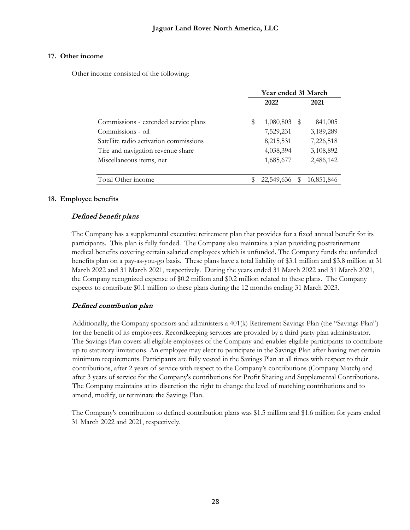## **17. Other income**

Other income consisted of the following:

|                                        |   | Year ended 31 March |      |            |
|----------------------------------------|---|---------------------|------|------------|
|                                        |   | 2022                |      | 2021       |
| Commissions - extended service plans   | S | 1,080,803           | - \$ | 841,005    |
| Commissions - oil                      |   | 7,529,231           |      | 3,189,289  |
| Satellite radio activation commissions |   | 8,215,531           |      | 7,226,518  |
| Tire and navigation revenue share      |   | 4,038,394           |      | 3,108,892  |
| Miscellaneous items, net               |   | 1,685,677           |      | 2,486,142  |
| Total Other income                     |   | 22,549,636          |      | 16,851,846 |

## **18. Employee benefits**

## Defined benefit plans

The Company has a supplemental executive retirement plan that provides for a fixed annual benefit for its participants. This plan is fully funded. The Company also maintains a plan providing postretirement medical benefits covering certain salaried employees which is unfunded. The Company funds the unfunded benefits plan on a pay-as-you-go basis. These plans have a total liability of \$3.1 million and \$3.8 million at 31 March 2022 and 31 March 2021, respectively. During the years ended 31 March 2022 and 31 March 2021, the Company recognized expense of \$0.2 million and \$0.2 million related to these plans. The Company expects to contribute \$0.1 million to these plans during the 12 months ending 31 March 2023.

# Defined contribution plan

Additionally, the Company sponsors and administers a 401(k) Retirement Savings Plan (the "Savings Plan") for the benefit of its employees. Recordkeeping services are provided by a third party plan administrator. The Savings Plan covers all eligible employees of the Company and enables eligible participants to contribute up to statutory limitations. An employee may elect to participate in the Savings Plan after having met certain minimum requirements. Participants are fully vested in the Savings Plan at all times with respect to their contributions, after 2 years of service with respect to the Company's contributions (Company Match) and after 3 years of service for the Company's contributions for Profit Sharing and Supplemental Contributions. The Company maintains at its discretion the right to change the level of matching contributions and to amend, modify, or terminate the Savings Plan.

The Company's contribution to defined contribution plans was \$1.5 million and \$1.6 million for years ended 31 March 2022 and 2021, respectively.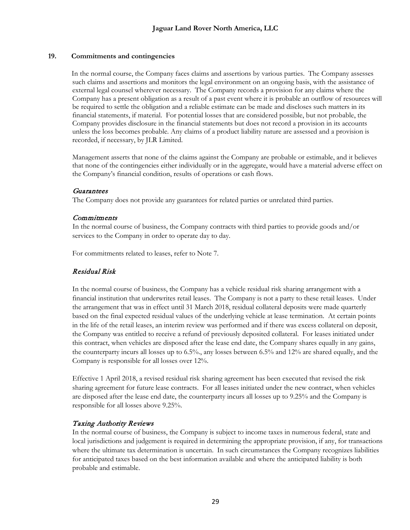### **19. Commitments and contingencies**

In the normal course, the Company faces claims and assertions by various parties. The Company assesses such claims and assertions and monitors the legal environment on an ongoing basis, with the assistance of external legal counsel wherever necessary. The Company records a provision for any claims where the Company has a present obligation as a result of a past event where it is probable an outflow of resources will be required to settle the obligation and a reliable estimate can be made and discloses such matters in its financial statements, if material. For potential losses that are considered possible, but not probable, the Company provides disclosure in the financial statements but does not record a provision in its accounts unless the loss becomes probable. Any claims of a product liability nature are assessed and a provision is recorded, if necessary, by JLR Limited.

Management asserts that none of the claims against the Company are probable or estimable, and it believes that none of the contingencies either individually or in the aggregate, would have a material adverse effect on the Company's financial condition, results of operations or cash flows.

### Guarantees

The Company does not provide any guarantees for related parties or unrelated third parties.

## **Commitments**

In the normal course of business, the Company contracts with third parties to provide goods and/or services to the Company in order to operate day to day.

For commitments related to leases, refer to Note 7.

# Residual Risk

In the normal course of business, the Company has a vehicle residual risk sharing arrangement with a financial institution that underwrites retail leases. The Company is not a party to these retail leases. Under the arrangement that was in effect until 31 March 2018, residual collateral deposits were made quarterly based on the final expected residual values of the underlying vehicle at lease termination. At certain points in the life of the retail leases, an interim review was performed and if there was excess collateral on deposit, the Company was entitled to receive a refund of previously deposited collateral. For leases initiated under this contract, when vehicles are disposed after the lease end date, the Company shares equally in any gains, the counterparty incurs all losses up to 6.5%., any losses between 6.5% and 12% are shared equally, and the Company is responsible for all losses over 12%.

Effective 1 April 2018, a revised residual risk sharing agreement has been executed that revised the risk sharing agreement for future lease contracts. For all leases initiated under the new contract, when vehicles are disposed after the lease end date, the counterparty incurs all losses up to 9.25% and the Company is responsible for all losses above 9.25%.

## Taxing Authority Reviews

In the normal course of business, the Company is subject to income taxes in numerous federal, state and local jurisdictions and judgement is required in determining the appropriate provision, if any, for transactions where the ultimate tax determination is uncertain. In such circumstances the Company recognizes liabilities for anticipated taxes based on the best information available and where the anticipated liability is both probable and estimable.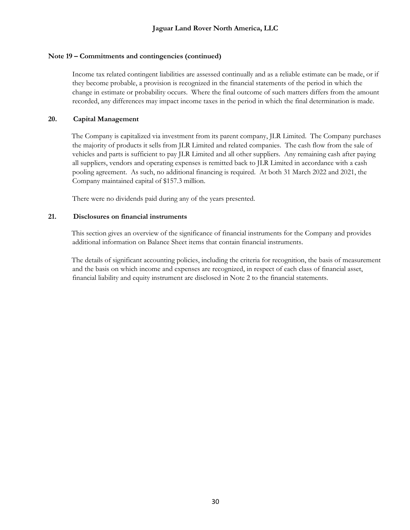## **Note 19 – Commitments and contingencies (continued)**

Income tax related contingent liabilities are assessed continually and as a reliable estimate can be made, or if they become probable, a provision is recognized in the financial statements of the period in which the change in estimate or probability occurs. Where the final outcome of such matters differs from the amount recorded, any differences may impact income taxes in the period in which the final determination is made.

## **20. Capital Management**

The Company is capitalized via investment from its parent company, JLR Limited. The Company purchases the majority of products it sells from JLR Limited and related companies. The cash flow from the sale of vehicles and parts is sufficient to pay JLR Limited and all other suppliers. Any remaining cash after paying all suppliers, vendors and operating expenses is remitted back to JLR Limited in accordance with a cash pooling agreement. As such, no additional financing is required. At both 31 March 2022 and 2021, the Company maintained capital of \$157.3 million.

There were no dividends paid during any of the years presented.

## **21. Disclosures on financial instruments**

This section gives an overview of the significance of financial instruments for the Company and provides additional information on Balance Sheet items that contain financial instruments.

The details of significant accounting policies, including the criteria for recognition, the basis of measurement and the basis on which income and expenses are recognized, in respect of each class of financial asset, financial liability and equity instrument are disclosed in Note 2 to the financial statements.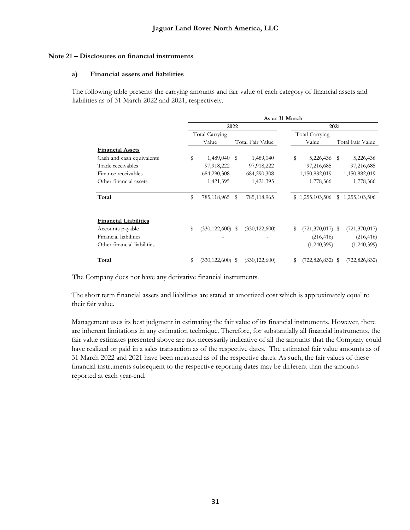### **Note 21 – Disclosures on financial instruments**

### **a) Financial assets and liabilities**

The following table presents the carrying amounts and fair value of each category of financial assets and liabilities as of 31 March 2022 and 2021, respectively.

|                              | As at 31 March |                      |      |                  |    |                    |    |                  |  |  |  |  |  |
|------------------------------|----------------|----------------------|------|------------------|----|--------------------|----|------------------|--|--|--|--|--|
|                              |                |                      | 2022 |                  |    | 2021               |    |                  |  |  |  |  |  |
|                              |                | Total Carrying       |      |                  |    | Total Carrying     |    |                  |  |  |  |  |  |
|                              |                | Value                |      | Total Fair Value |    | Value              |    | Total Fair Value |  |  |  |  |  |
| <b>Financial Assets</b>      |                |                      |      |                  |    |                    |    |                  |  |  |  |  |  |
| Cash and cash equivalents    | \$             | 1,489,040            | \$   | 1,489,040        | \$ | 5,226,436 \$       |    | 5,226,436        |  |  |  |  |  |
| Trade receivables            |                | 97,918,222           |      | 97,918,222       |    | 97,216,685         |    | 97,216,685       |  |  |  |  |  |
| Finance receivables          |                | 684,290,308          |      | 684,290,308      |    | 1,150,882,019      |    | 1,150,882,019    |  |  |  |  |  |
| Other financial assets       |                | 1,421,395            |      | 1,421,395        |    | 1,778,366          |    | 1,778,366        |  |  |  |  |  |
| Total                        | \$             | 785,118,965          | S    | 785,118,965      |    | \$1,255,103,506    |    | \$1,255,103,506  |  |  |  |  |  |
| <b>Financial Liabilities</b> |                |                      |      |                  |    |                    |    |                  |  |  |  |  |  |
| Accounts payable             | \$             | $(330, 122, 600)$ \$ |      | (330, 122, 600)  | \$ | $(721,370,017)$ \$ |    | (721,370,017)    |  |  |  |  |  |
| Financial liabilities        |                |                      |      |                  |    | (216, 416)         |    | (216, 416)       |  |  |  |  |  |
| Other financial liabilities  |                |                      |      |                  |    | (1,240,399)        |    | (1,240,399)      |  |  |  |  |  |
| Total                        | \$             | (330, 122, 600)      | S    | (330, 122, 600)  |    | (722,826,832)      | \$ | (722,826,832)    |  |  |  |  |  |

The Company does not have any derivative financial instruments.

The short term financial assets and liabilities are stated at amortized cost which is approximately equal to their fair value.

Management uses its best judgment in estimating the fair value of its financial instruments. However, there are inherent limitations in any estimation technique. Therefore, for substantially all financial instruments, the fair value estimates presented above are not necessarily indicative of all the amounts that the Company could have realized or paid in a sales transaction as of the respective dates. The estimated fair value amounts as of 31 March 2022 and 2021 have been measured as of the respective dates. As such, the fair values of these financial instruments subsequent to the respective reporting dates may be different than the amounts reported at each year-end.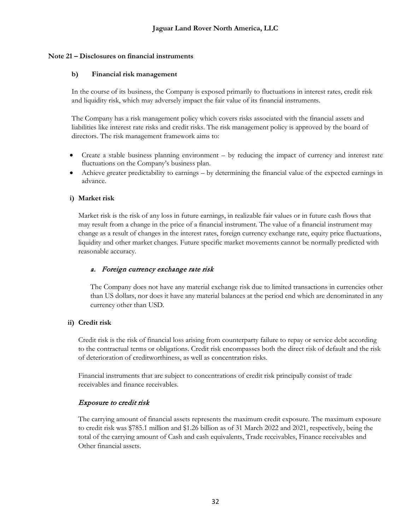## **Note 21 – Disclosures on financial instruments**

## **b) Financial risk management**

In the course of its business, the Company is exposed primarily to fluctuations in interest rates, credit risk and liquidity risk, which may adversely impact the fair value of its financial instruments.

The Company has a risk management policy which covers risks associated with the financial assets and liabilities like interest rate risks and credit risks. The risk management policy is approved by the board of directors. The risk management framework aims to:

- Create a stable business planning environment by reducing the impact of currency and interest rate fluctuations on the Company's business plan.
- Achieve greater predictability to earnings by determining the financial value of the expected earnings in advance.

## **i) Market risk**

Market risk is the risk of any loss in future earnings, in realizable fair values or in future cash flows that may result from a change in the price of a financial instrument. The value of a financial instrument may change as a result of changes in the interest rates, foreign currency exchange rate, equity price fluctuations, liquidity and other market changes. Future specific market movements cannot be normally predicted with reasonable accuracy.

## a. Foreign currency exchange rate risk

The Company does not have any material exchange risk due to limited transactions in currencies other than US dollars, nor does it have any material balances at the period end which are denominated in any currency other than USD.

## **ii) Credit risk**

Credit risk is the risk of financial loss arising from counterparty failure to repay or service debt according to the contractual terms or obligations. Credit risk encompasses both the direct risk of default and the risk of deterioration of creditworthiness, as well as concentration risks.

Financial instruments that are subject to concentrations of credit risk principally consist of trade receivables and finance receivables.

## Exposure to credit risk

The carrying amount of financial assets represents the maximum credit exposure. The maximum exposure to credit risk was \$785.1 million and \$1.26 billion as of 31 March 2022 and 2021, respectively, being the total of the carrying amount of Cash and cash equivalents, Trade receivables, Finance receivables and Other financial assets.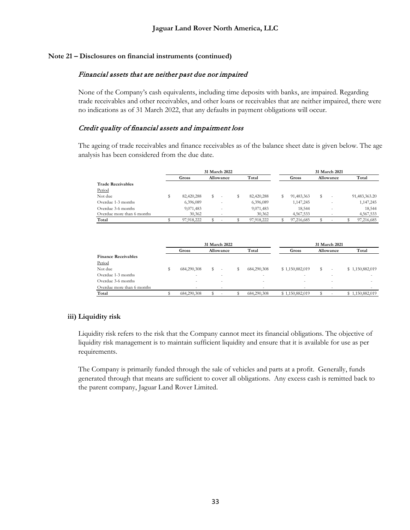## **Note 21 – Disclosures on financial instruments (continued)**

## Financial assets that are neither past due nor impaired

None of the Company's cash equivalents, including time deposits with banks, are impaired. Regarding trade receivables and other receivables, and other loans or receivables that are neither impaired, there were no indications as of 31 March 2022, that any defaults in payment obligations will occur.

## Credit quality of financial assets and impairment loss

The ageing of trade receivables and finance receivables as of the balance sheet date is given below. The age analysis has been considered from the due date.

|                            |            | 31 March 2022 |  |            | 31 March 2021 |            |  |           |  |               |  |
|----------------------------|------------|---------------|--|------------|---------------|------------|--|-----------|--|---------------|--|
|                            | Gross      | Allowance     |  | Total      |               | Gross      |  | Allowance |  | Total         |  |
| <b>Trade Receivables</b>   |            |               |  |            |               |            |  |           |  |               |  |
| Period                     |            |               |  |            |               |            |  |           |  |               |  |
| Not due                    | 82,420,288 | \$            |  | 82,420,288 | ъ             | 91,483,363 |  |           |  | 91,483,363.20 |  |
| Overdue 1-3 months         | 6,396,089  |               |  | 6,396,089  |               | 1,147,245  |  |           |  | 1,147,245     |  |
| Overdue 3-6 months         | 9,071,483  |               |  | 9,071,483  |               | 18.544     |  |           |  | 18.544        |  |
| Overdue more than 6 months | 30,362     |               |  | 30,362     |               | 4,567,533  |  |           |  | 4,567,533     |  |
| Total                      | 97.918.222 |               |  | 97.918.222 |               | 97.216.685 |  |           |  | 97,216,685    |  |

|                            |  |             | 31 March 2022            |                          | 31 March 2021   |           |        |  |                 |  |
|----------------------------|--|-------------|--------------------------|--------------------------|-----------------|-----------|--------|--|-----------------|--|
|                            |  | Gross       | Allowance                | Total                    | Gross           | Allowance |        |  | Total           |  |
| <b>Finance Receivables</b> |  |             |                          |                          |                 |           |        |  |                 |  |
| Period                     |  |             |                          |                          |                 |           |        |  |                 |  |
| Not due                    |  | 684.290.308 |                          | 684,290,308              | \$1,150,882,019 |           |        |  | \$1,150,882,019 |  |
| Overdue 1-3 months         |  | -           |                          | -                        |                 |           |        |  |                 |  |
| Overdue 3-6 months         |  |             |                          | ۰                        |                 |           |        |  |                 |  |
| Overdue more than 6 months |  | -           | $\overline{\phantom{a}}$ | $\overline{\phantom{a}}$ | $\sim$          |           | $\sim$ |  |                 |  |
| Total                      |  | 684,290,308 |                          | 684,290,308              | \$1,150,882,019 |           |        |  | \$1,150,882,019 |  |

## **iii) Liquidity risk**

Liquidity risk refers to the risk that the Company cannot meet its financial obligations. The objective of liquidity risk management is to maintain sufficient liquidity and ensure that it is available for use as per requirements.

The Company is primarily funded through the sale of vehicles and parts at a profit. Generally, funds generated through that means are sufficient to cover all obligations. Any excess cash is remitted back to the parent company, Jaguar Land Rover Limited.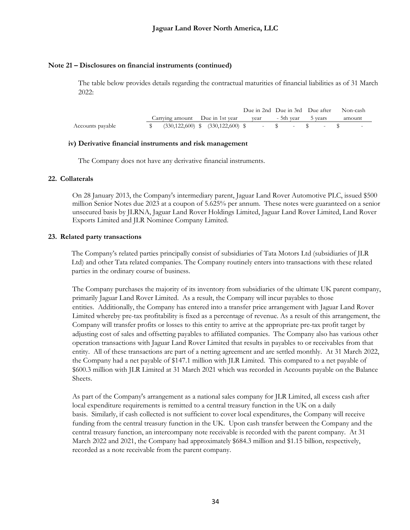#### **Note 21 – Disclosures on financial instruments (continued)**

The table below provides details regarding the contractual maturities of financial liabilities as of 31 March 2022:

|                  |                                                                                                                                                                                                 |  |  |  |  | Due in 2nd Due in 3rd Due after Non-cash |
|------------------|-------------------------------------------------------------------------------------------------------------------------------------------------------------------------------------------------|--|--|--|--|------------------------------------------|
|                  | Carrying amount Due in 1st year vear - 5th year 5 years                                                                                                                                         |  |  |  |  | amount                                   |
| Accounts payable | $\text{\$} \qquad (330,122,600) \qquad \text{\$} \qquad (330,122,600) \qquad \text{\$} \qquad - \qquad \text{\$} \qquad - \qquad \text{\$} \qquad - \qquad \text{\$} \qquad - \qquad \text{\$}$ |  |  |  |  | <b>Service State</b>                     |

#### **iv) Derivative financial instruments and risk management**

The Company does not have any derivative financial instruments.

#### **22. Collaterals**

On 28 January 2013, the Company's intermediary parent, Jaguar Land Rover Automotive PLC, issued \$500 million Senior Notes due 2023 at a coupon of 5.625% per annum. These notes were guaranteed on a senior unsecured basis by JLRNA, Jaguar Land Rover Holdings Limited, Jaguar Land Rover Limited, Land Rover Exports Limited and JLR Nominee Company Limited.

#### **23. Related party transactions**

The Company's related parties principally consist of subsidiaries of Tata Motors Ltd (subsidiaries of JLR Ltd) and other Tata related companies. The Company routinely enters into transactions with these related parties in the ordinary course of business.

The Company purchases the majority of its inventory from subsidiaries of the ultimate UK parent company, primarily Jaguar Land Rover Limited. As a result, the Company will incur payables to those entities. Additionally, the Company has entered into a transfer price arrangement with Jaguar Land Rover Limited whereby pre-tax profitability is fixed as a percentage of revenue. As a result of this arrangement, the Company will transfer profits or losses to this entity to arrive at the appropriate pre-tax profit target by adjusting cost of sales and offsetting payables to affiliated companies. The Company also has various other operation transactions with Jaguar Land Rover Limited that results in payables to or receivables from that entity. All of these transactions are part of a netting agreement and are settled monthly. At 31 March 2022, the Company had a net payable of \$147.1 million with JLR Limited. This compared to a net payable of \$600.3 million with JLR Limited at 31 March 2021 which was recorded in Accounts payable on the Balance Sheets.

As part of the Company's arrangement as a national sales company for JLR Limited, all excess cash after local expenditure requirements is remitted to a central treasury function in the UK on a daily basis. Similarly, if cash collected is not sufficient to cover local expenditures, the Company will receive funding from the central treasury function in the UK. Upon cash transfer between the Company and the central treasury function, an intercompany note receivable is recorded with the parent company. At 31 March 2022 and 2021, the Company had approximately \$684.3 million and \$1.15 billion, respectively, recorded as a note receivable from the parent company.